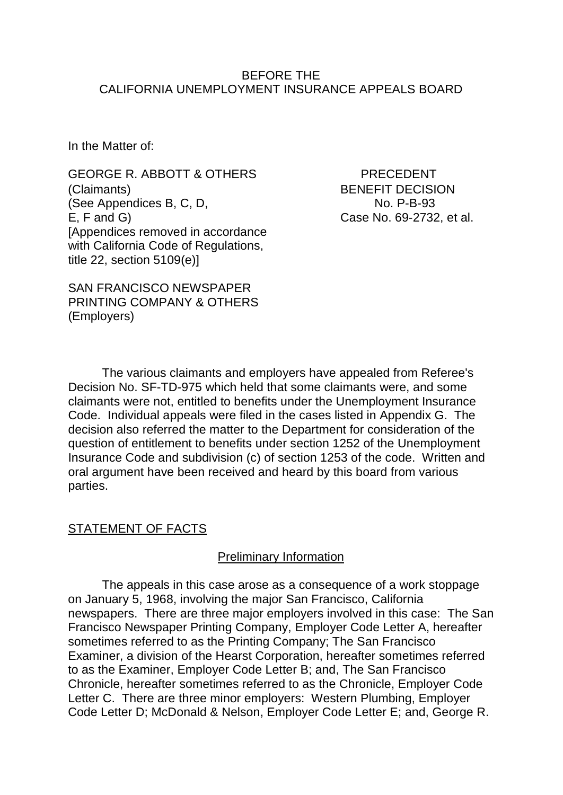### BEFORE THE CALIFORNIA UNEMPLOYMENT INSURANCE APPEALS BOARD

In the Matter of:

GEORGE R. ABBOTT & OTHERS PRECEDENT (Claimants) BENEFIT DECISION (See Appendices B, C, D, No. P-B-93 E, F and G) Case No. 69-2732, et al. [Appendices removed in accordance with California Code of Regulations, title 22, section 5109(e)]

SAN FRANCISCO NEWSPAPER PRINTING COMPANY & OTHERS (Employers)

The various claimants and employers have appealed from Referee's Decision No. SF-TD-975 which held that some claimants were, and some claimants were not, entitled to benefits under the Unemployment Insurance Code. Individual appeals were filed in the cases listed in Appendix G. The decision also referred the matter to the Department for consideration of the question of entitlement to benefits under section 1252 of the Unemployment Insurance Code and subdivision (c) of section 1253 of the code. Written and oral argument have been received and heard by this board from various parties.

## STATEMENT OF FACTS

### Preliminary Information

The appeals in this case arose as a consequence of a work stoppage on January 5, 1968, involving the major San Francisco, California newspapers. There are three major employers involved in this case: The San Francisco Newspaper Printing Company, Employer Code Letter A, hereafter sometimes referred to as the Printing Company; The San Francisco Examiner, a division of the Hearst Corporation, hereafter sometimes referred to as the Examiner, Employer Code Letter B; and, The San Francisco Chronicle, hereafter sometimes referred to as the Chronicle, Employer Code Letter C. There are three minor employers: Western Plumbing, Employer Code Letter D; McDonald & Nelson, Employer Code Letter E; and, George R.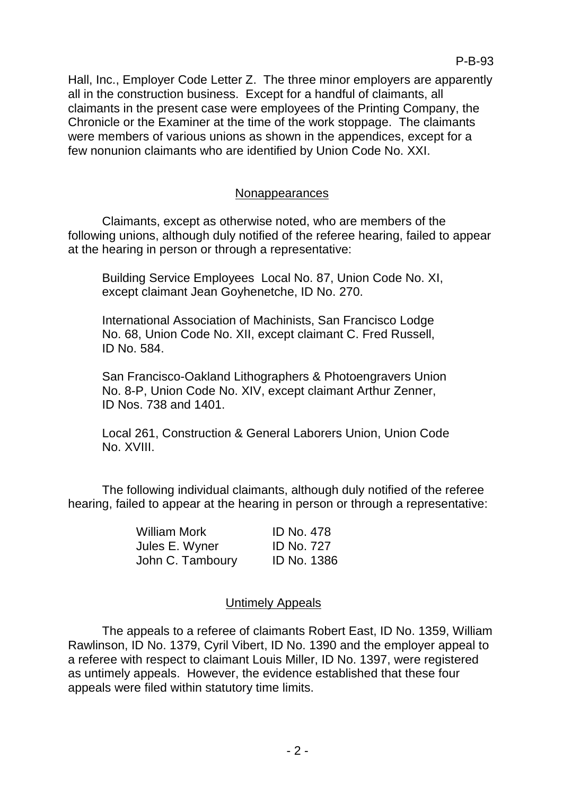Hall, Inc., Employer Code Letter Z. The three minor employers are apparently all in the construction business. Except for a handful of claimants, all claimants in the present case were employees of the Printing Company, the Chronicle or the Examiner at the time of the work stoppage. The claimants were members of various unions as shown in the appendices, except for a few nonunion claimants who are identified by Union Code No. XXI.

## Nonappearances

Claimants, except as otherwise noted, who are members of the following unions, although duly notified of the referee hearing, failed to appear at the hearing in person or through a representative:

Building Service Employees Local No. 87, Union Code No. XI, except claimant Jean Goyhenetche, ID No. 270.

International Association of Machinists, San Francisco Lodge No. 68, Union Code No. XII, except claimant C. Fred Russell, ID No. 584.

San Francisco-Oakland Lithographers & Photoengravers Union No. 8-P, Union Code No. XIV, except claimant Arthur Zenner, ID Nos. 738 and 1401.

Local 261, Construction & General Laborers Union, Union Code No. XVIII.

The following individual claimants, although duly notified of the referee hearing, failed to appear at the hearing in person or through a representative:

| <b>William Mork</b> | <b>ID No. 478</b>  |
|---------------------|--------------------|
| Jules E. Wyner      | <b>ID No. 727</b>  |
| John C. Tamboury    | <b>ID No. 1386</b> |

## Untimely Appeals

The appeals to a referee of claimants Robert East, ID No. 1359, William Rawlinson, ID No. 1379, Cyril Vibert, ID No. 1390 and the employer appeal to a referee with respect to claimant Louis Miller, ID No. 1397, were registered as untimely appeals. However, the evidence established that these four appeals were filed within statutory time limits.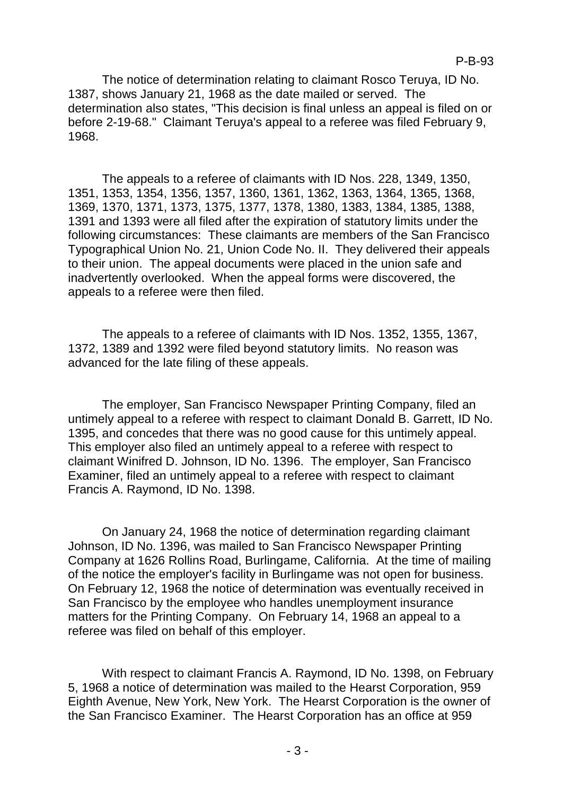The notice of determination relating to claimant Rosco Teruya, ID No. 1387, shows January 21, 1968 as the date mailed or served. The determination also states, "This decision is final unless an appeal is filed on or before 2-19-68." Claimant Teruya's appeal to a referee was filed February 9, 1968.

The appeals to a referee of claimants with ID Nos. 228, 1349, 1350, 1351, 1353, 1354, 1356, 1357, 1360, 1361, 1362, 1363, 1364, 1365, 1368, 1369, 1370, 1371, 1373, 1375, 1377, 1378, 1380, 1383, 1384, 1385, 1388, 1391 and 1393 were all filed after the expiration of statutory limits under the following circumstances: These claimants are members of the San Francisco Typographical Union No. 21, Union Code No. II. They delivered their appeals to their union. The appeal documents were placed in the union safe and inadvertently overlooked. When the appeal forms were discovered, the appeals to a referee were then filed.

The appeals to a referee of claimants with ID Nos. 1352, 1355, 1367, 1372, 1389 and 1392 were filed beyond statutory limits. No reason was advanced for the late filing of these appeals.

The employer, San Francisco Newspaper Printing Company, filed an untimely appeal to a referee with respect to claimant Donald B. Garrett, ID No. 1395, and concedes that there was no good cause for this untimely appeal. This employer also filed an untimely appeal to a referee with respect to claimant Winifred D. Johnson, ID No. 1396. The employer, San Francisco Examiner, filed an untimely appeal to a referee with respect to claimant Francis A. Raymond, ID No. 1398.

On January 24, 1968 the notice of determination regarding claimant Johnson, ID No. 1396, was mailed to San Francisco Newspaper Printing Company at 1626 Rollins Road, Burlingame, California. At the time of mailing of the notice the employer's facility in Burlingame was not open for business. On February 12, 1968 the notice of determination was eventually received in San Francisco by the employee who handles unemployment insurance matters for the Printing Company. On February 14, 1968 an appeal to a referee was filed on behalf of this employer.

With respect to claimant Francis A. Raymond, ID No. 1398, on February 5, 1968 a notice of determination was mailed to the Hearst Corporation, 959 Eighth Avenue, New York, New York. The Hearst Corporation is the owner of the San Francisco Examiner. The Hearst Corporation has an office at 959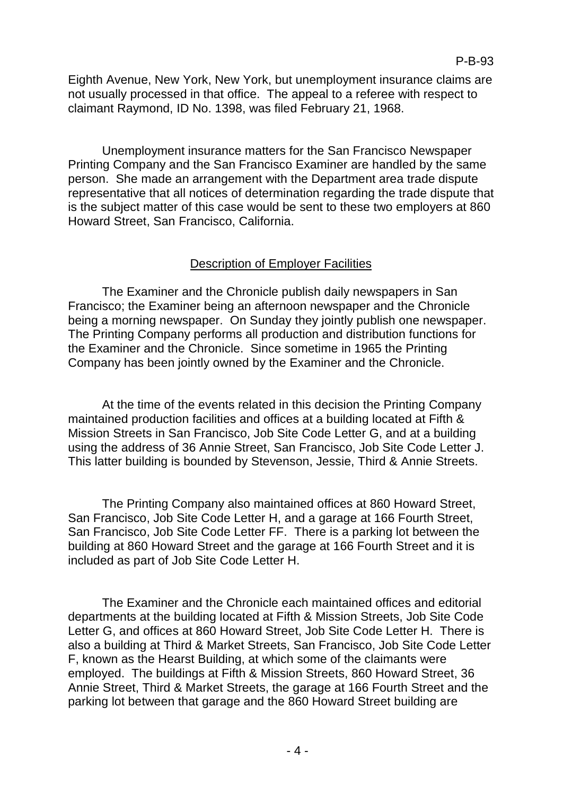Eighth Avenue, New York, New York, but unemployment insurance claims are not usually processed in that office. The appeal to a referee with respect to claimant Raymond, ID No. 1398, was filed February 21, 1968.

Unemployment insurance matters for the San Francisco Newspaper Printing Company and the San Francisco Examiner are handled by the same person. She made an arrangement with the Department area trade dispute representative that all notices of determination regarding the trade dispute that is the subject matter of this case would be sent to these two employers at 860 Howard Street, San Francisco, California.

## Description of Employer Facilities

The Examiner and the Chronicle publish daily newspapers in San Francisco; the Examiner being an afternoon newspaper and the Chronicle being a morning newspaper. On Sunday they jointly publish one newspaper. The Printing Company performs all production and distribution functions for the Examiner and the Chronicle. Since sometime in 1965 the Printing Company has been jointly owned by the Examiner and the Chronicle.

At the time of the events related in this decision the Printing Company maintained production facilities and offices at a building located at Fifth & Mission Streets in San Francisco, Job Site Code Letter G, and at a building using the address of 36 Annie Street, San Francisco, Job Site Code Letter J. This latter building is bounded by Stevenson, Jessie, Third & Annie Streets.

The Printing Company also maintained offices at 860 Howard Street, San Francisco, Job Site Code Letter H, and a garage at 166 Fourth Street, San Francisco, Job Site Code Letter FF. There is a parking lot between the building at 860 Howard Street and the garage at 166 Fourth Street and it is included as part of Job Site Code Letter H.

The Examiner and the Chronicle each maintained offices and editorial departments at the building located at Fifth & Mission Streets, Job Site Code Letter G, and offices at 860 Howard Street, Job Site Code Letter H. There is also a building at Third & Market Streets, San Francisco, Job Site Code Letter F, known as the Hearst Building, at which some of the claimants were employed. The buildings at Fifth & Mission Streets, 860 Howard Street, 36 Annie Street, Third & Market Streets, the garage at 166 Fourth Street and the parking lot between that garage and the 860 Howard Street building are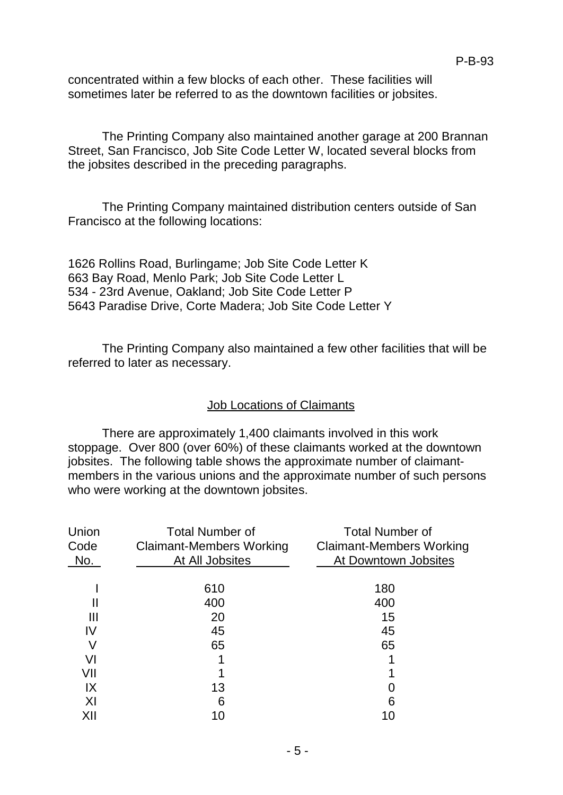concentrated within a few blocks of each other. These facilities will sometimes later be referred to as the downtown facilities or jobsites.

The Printing Company also maintained another garage at 200 Brannan Street, San Francisco, Job Site Code Letter W, located several blocks from the jobsites described in the preceding paragraphs.

The Printing Company maintained distribution centers outside of San Francisco at the following locations:

1626 Rollins Road, Burlingame; Job Site Code Letter K 663 Bay Road, Menlo Park; Job Site Code Letter L 534 - 23rd Avenue, Oakland; Job Site Code Letter P 5643 Paradise Drive, Corte Madera; Job Site Code Letter Y

The Printing Company also maintained a few other facilities that will be referred to later as necessary.

## Job Locations of Claimants

There are approximately 1,400 claimants involved in this work stoppage. Over 800 (over 60%) of these claimants worked at the downtown jobsites. The following table shows the approximate number of claimantmembers in the various unions and the approximate number of such persons who were working at the downtown jobsites.

| Union<br>Code<br>No. | <b>Total Number of</b><br><b>Claimant-Members Working</b><br>At All Jobsites | <b>Total Number of</b><br><b>Claimant-Members Working</b><br>At Downtown Jobsites |
|----------------------|------------------------------------------------------------------------------|-----------------------------------------------------------------------------------|
|                      | 610                                                                          | 180                                                                               |
|                      | 400                                                                          | 400                                                                               |
| Ш                    | 20                                                                           | 15                                                                                |
| IV                   | 45                                                                           | 45                                                                                |
| V                    | 65                                                                           | 65                                                                                |
| VI                   |                                                                              |                                                                                   |
| VII                  |                                                                              |                                                                                   |
| IX                   | 13                                                                           |                                                                                   |
| X <sub>l</sub>       | 6                                                                            | 6                                                                                 |
| XII                  | 10                                                                           |                                                                                   |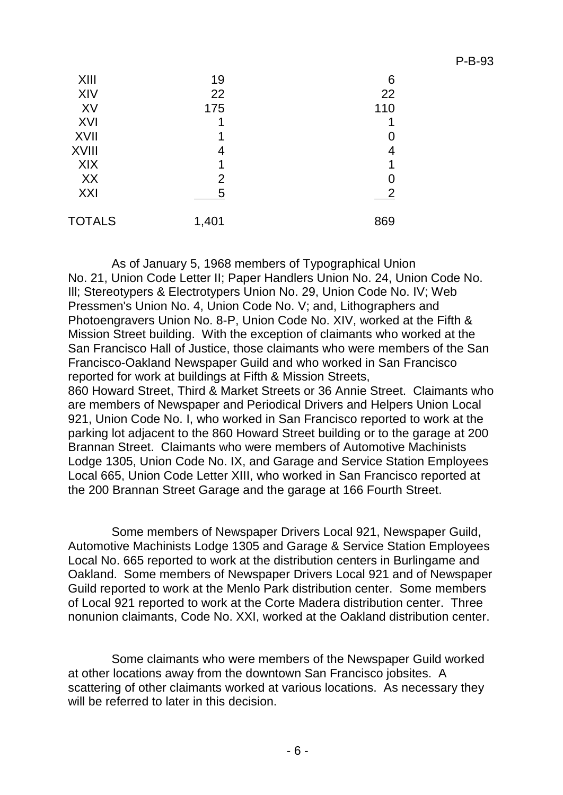| XIII          | 19             | 6              |
|---------------|----------------|----------------|
| XIV           | 22             | 22             |
| XV            | 175            | 110            |
| XVI           | 1              |                |
| <b>XVII</b>   | 1              |                |
| <b>XVIII</b>  | 4              |                |
| XIX           | 1              |                |
| XX            | $\overline{2}$ |                |
| XXI           | 5              | $\overline{2}$ |
| <b>TOTALS</b> | 1,401          | 869            |

As of January 5, 1968 members of Typographical Union No. 21, Union Code Letter II; Paper Handlers Union No. 24, Union Code No. Ill; Stereotypers & Electrotypers Union No. 29, Union Code No. IV; Web Pressmen's Union No. 4, Union Code No. V; and, Lithographers and Photoengravers Union No. 8-P, Union Code No. XIV, worked at the Fifth & Mission Street building. With the exception of claimants who worked at the San Francisco Hall of Justice, those claimants who were members of the San Francisco-Oakland Newspaper Guild and who worked in San Francisco reported for work at buildings at Fifth & Mission Streets, 860 Howard Street, Third & Market Streets or 36 Annie Street. Claimants who are members of Newspaper and Periodical Drivers and Helpers Union Local 921, Union Code No. I, who worked in San Francisco reported to work at the parking lot adjacent to the 860 Howard Street building or to the garage at 200 Brannan Street. Claimants who were members of Automotive Machinists Lodge 1305, Union Code No. IX, and Garage and Service Station Employees

Some members of Newspaper Drivers Local 921, Newspaper Guild, Automotive Machinists Lodge 1305 and Garage & Service Station Employees Local No. 665 reported to work at the distribution centers in Burlingame and Oakland. Some members of Newspaper Drivers Local 921 and of Newspaper Guild reported to work at the Menlo Park distribution center. Some members of Local 921 reported to work at the Corte Madera distribution center. Three nonunion claimants, Code No. XXI, worked at the Oakland distribution center.

Local 665, Union Code Letter XIII, who worked in San Francisco reported at

the 200 Brannan Street Garage and the garage at 166 Fourth Street.

Some claimants who were members of the Newspaper Guild worked at other locations away from the downtown San Francisco jobsites. A scattering of other claimants worked at various locations. As necessary they will be referred to later in this decision.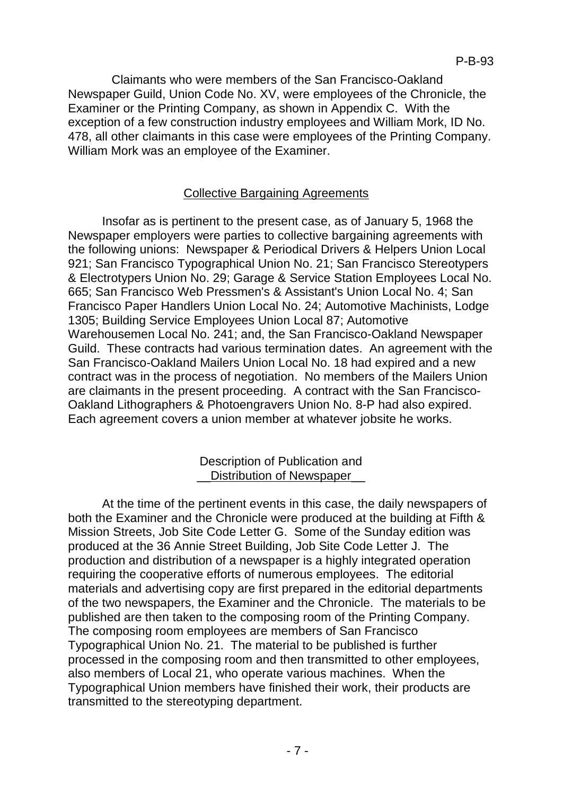Claimants who were members of the San Francisco-Oakland Newspaper Guild, Union Code No. XV, were employees of the Chronicle, the Examiner or the Printing Company, as shown in Appendix C. With the exception of a few construction industry employees and William Mork, ID No. 478, all other claimants in this case were employees of the Printing Company. William Mork was an employee of the Examiner.

# Collective Bargaining Agreements

Insofar as is pertinent to the present case, as of January 5, 1968 the Newspaper employers were parties to collective bargaining agreements with the following unions: Newspaper & Periodical Drivers & Helpers Union Local 921; San Francisco Typographical Union No. 21; San Francisco Stereotypers & Electrotypers Union No. 29; Garage & Service Station Employees Local No. 665; San Francisco Web Pressmen's & Assistant's Union Local No. 4; San Francisco Paper Handlers Union Local No. 24; Automotive Machinists, Lodge 1305; Building Service Employees Union Local 87; Automotive Warehousemen Local No. 241; and, the San Francisco-Oakland Newspaper Guild. These contracts had various termination dates. An agreement with the San Francisco-Oakland Mailers Union Local No. 18 had expired and a new contract was in the process of negotiation. No members of the Mailers Union are claimants in the present proceeding. A contract with the San Francisco-Oakland Lithographers & Photoengravers Union No. 8-P had also expired. Each agreement covers a union member at whatever jobsite he works.

## Description of Publication and \_\_Distribution of Newspaper\_\_

At the time of the pertinent events in this case, the daily newspapers of both the Examiner and the Chronicle were produced at the building at Fifth & Mission Streets, Job Site Code Letter G. Some of the Sunday edition was produced at the 36 Annie Street Building, Job Site Code Letter J. The production and distribution of a newspaper is a highly integrated operation requiring the cooperative efforts of numerous employees. The editorial materials and advertising copy are first prepared in the editorial departments of the two newspapers, the Examiner and the Chronicle. The materials to be published are then taken to the composing room of the Printing Company. The composing room employees are members of San Francisco Typographical Union No. 21. The material to be published is further processed in the composing room and then transmitted to other employees, also members of Local 21, who operate various machines. When the Typographical Union members have finished their work, their products are transmitted to the stereotyping department.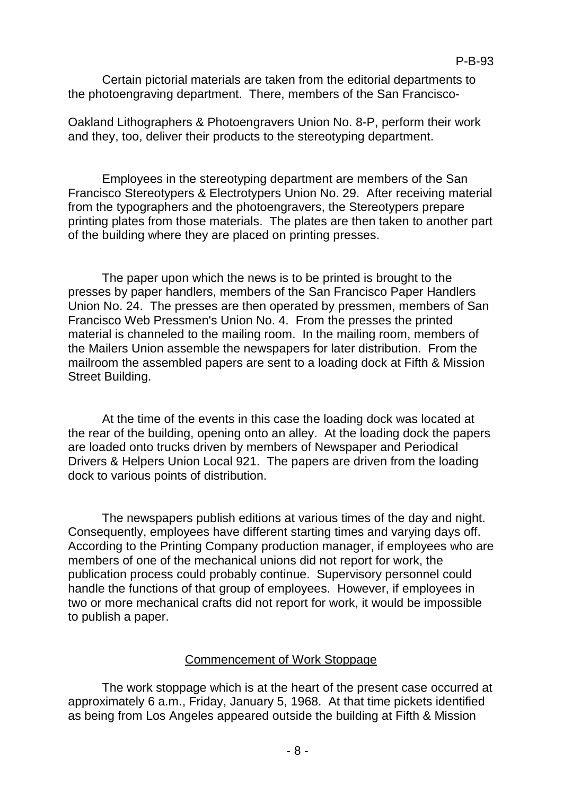Certain pictorial materials are taken from the editorial departments to the photoengraving department. There, members of the San Francisco-

Oakland Lithographers & Photoengravers Union No. 8-P, perform their work and they, too, deliver their products to the stereotyping department.

Employees in the stereotyping department are members of the San Francisco Stereotypers & Electrotypers Union No. 29. After receiving material from the typographers and the photoengravers, the Stereotypers prepare printing plates from those materials. The plates are then taken to another part of the building where they are placed on printing presses.

The paper upon which the news is to be printed is brought to the presses by paper handlers, members of the San Francisco Paper Handlers Union No. 24. The presses are then operated by pressmen, members of San Francisco Web Pressmen's Union No. 4. From the presses the printed material is channeled to the mailing room. In the mailing room, members of the Mailers Union assemble the newspapers for later distribution. From the mailroom the assembled papers are sent to a loading dock at Fifth & Mission Street Building.

At the time of the events in this case the loading dock was located at the rear of the building, opening onto an alley. At the loading dock the papers are loaded onto trucks driven by members of Newspaper and Periodical Drivers & Helpers Union Local 921. The papers are driven from the loading dock to various points of distribution.

The newspapers publish editions at various times of the day and night. Consequently, employees have different starting times and varying days off. According to the Printing Company production manager, if employees who are members of one of the mechanical unions did not report for work, the publication process could probably continue. Supervisory personnel could handle the functions of that group of employees. However, if employees in two or more mechanical crafts did not report for work, it would be impossible to publish a paper.

## Commencement of Work Stoppage

The work stoppage which is at the heart of the present case occurred at approximately 6 a.m., Friday, January 5, 1968. At that time pickets identified as being from Los Angeles appeared outside the building at Fifth & Mission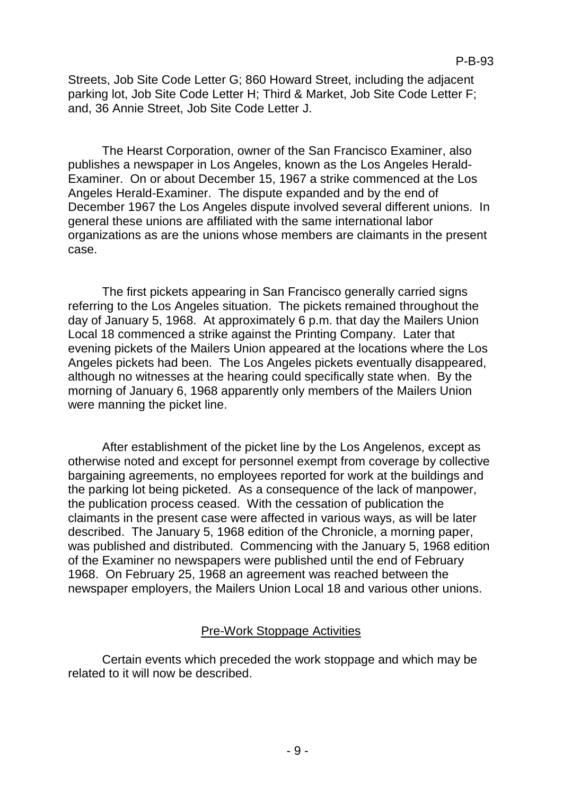Streets, Job Site Code Letter G; 860 Howard Street, including the adjacent parking lot, Job Site Code Letter H; Third & Market, Job Site Code Letter F; and, 36 Annie Street, Job Site Code Letter J.

The Hearst Corporation, owner of the San Francisco Examiner, also publishes a newspaper in Los Angeles, known as the Los Angeles Herald-Examiner. On or about December 15, 1967 a strike commenced at the Los Angeles Herald-Examiner. The dispute expanded and by the end of December 1967 the Los Angeles dispute involved several different unions. In general these unions are affiliated with the same international labor organizations as are the unions whose members are claimants in the present case.

The first pickets appearing in San Francisco generally carried signs referring to the Los Angeles situation. The pickets remained throughout the day of January 5, 1968. At approximately 6 p.m. that day the Mailers Union Local 18 commenced a strike against the Printing Company. Later that evening pickets of the Mailers Union appeared at the locations where the Los Angeles pickets had been. The Los Angeles pickets eventually disappeared, although no witnesses at the hearing could specifically state when. By the morning of January 6, 1968 apparently only members of the Mailers Union were manning the picket line.

After establishment of the picket line by the Los Angelenos, except as otherwise noted and except for personnel exempt from coverage by collective bargaining agreements, no employees reported for work at the buildings and the parking lot being picketed. As a consequence of the lack of manpower, the publication process ceased. With the cessation of publication the claimants in the present case were affected in various ways, as will be later described. The January 5, 1968 edition of the Chronicle, a morning paper, was published and distributed. Commencing with the January 5, 1968 edition of the Examiner no newspapers were published until the end of February 1968. On February 25, 1968 an agreement was reached between the newspaper employers, the Mailers Union Local 18 and various other unions.

## Pre-Work Stoppage Activities

Certain events which preceded the work stoppage and which may be related to it will now be described.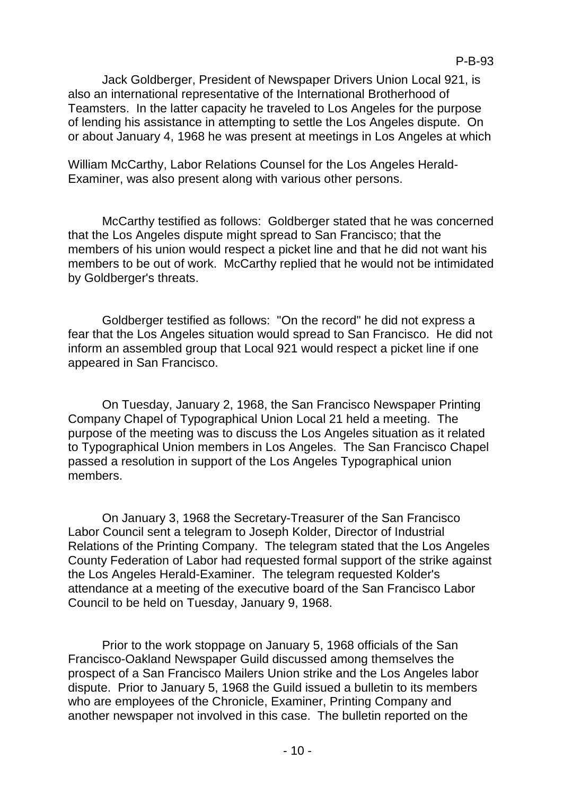Jack Goldberger, President of Newspaper Drivers Union Local 921, is also an international representative of the International Brotherhood of Teamsters. In the latter capacity he traveled to Los Angeles for the purpose of lending his assistance in attempting to settle the Los Angeles dispute. On or about January 4, 1968 he was present at meetings in Los Angeles at which

William McCarthy, Labor Relations Counsel for the Los Angeles Herald-Examiner, was also present along with various other persons.

McCarthy testified as follows: Goldberger stated that he was concerned that the Los Angeles dispute might spread to San Francisco; that the members of his union would respect a picket line and that he did not want his members to be out of work. McCarthy replied that he would not be intimidated by Goldberger's threats.

Goldberger testified as follows: "On the record" he did not express a fear that the Los Angeles situation would spread to San Francisco. He did not inform an assembled group that Local 921 would respect a picket line if one appeared in San Francisco.

On Tuesday, January 2, 1968, the San Francisco Newspaper Printing Company Chapel of Typographical Union Local 21 held a meeting. The purpose of the meeting was to discuss the Los Angeles situation as it related to Typographical Union members in Los Angeles. The San Francisco Chapel passed a resolution in support of the Los Angeles Typographical union members.

On January 3, 1968 the Secretary-Treasurer of the San Francisco Labor Council sent a telegram to Joseph Kolder, Director of Industrial Relations of the Printing Company. The telegram stated that the Los Angeles County Federation of Labor had requested formal support of the strike against the Los Angeles Herald-Examiner. The telegram requested Kolder's attendance at a meeting of the executive board of the San Francisco Labor Council to be held on Tuesday, January 9, 1968.

Prior to the work stoppage on January 5, 1968 officials of the San Francisco-Oakland Newspaper Guild discussed among themselves the prospect of a San Francisco Mailers Union strike and the Los Angeles labor dispute. Prior to January 5, 1968 the Guild issued a bulletin to its members who are employees of the Chronicle, Examiner, Printing Company and another newspaper not involved in this case. The bulletin reported on the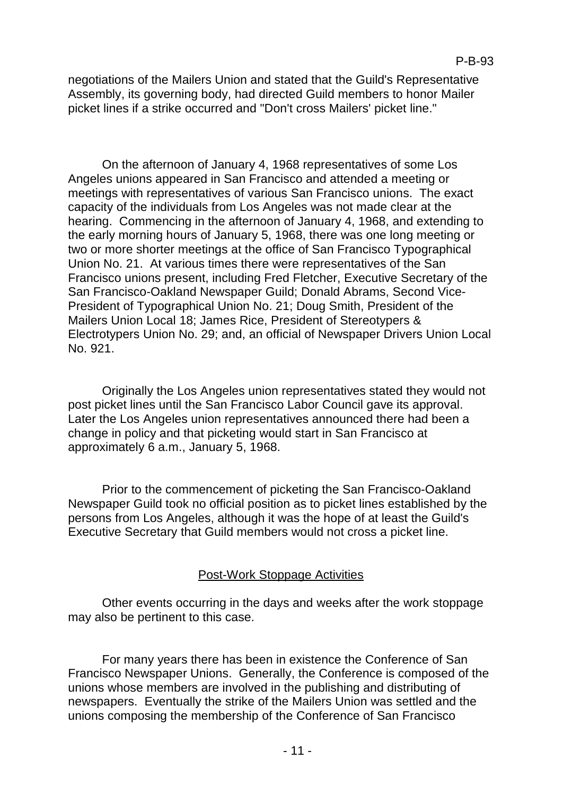negotiations of the Mailers Union and stated that the Guild's Representative Assembly, its governing body, had directed Guild members to honor Mailer picket lines if a strike occurred and "Don't cross Mailers' picket line."

On the afternoon of January 4, 1968 representatives of some Los Angeles unions appeared in San Francisco and attended a meeting or meetings with representatives of various San Francisco unions. The exact capacity of the individuals from Los Angeles was not made clear at the hearing. Commencing in the afternoon of January 4, 1968, and extending to the early morning hours of January 5, 1968, there was one long meeting or two or more shorter meetings at the office of San Francisco Typographical Union No. 21. At various times there were representatives of the San Francisco unions present, including Fred Fletcher, Executive Secretary of the San Francisco-Oakland Newspaper Guild; Donald Abrams, Second Vice-President of Typographical Union No. 21; Doug Smith, President of the Mailers Union Local 18; James Rice, President of Stereotypers & Electrotypers Union No. 29; and, an official of Newspaper Drivers Union Local No. 921.

Originally the Los Angeles union representatives stated they would not post picket lines until the San Francisco Labor Council gave its approval. Later the Los Angeles union representatives announced there had been a change in policy and that picketing would start in San Francisco at approximately 6 a.m., January 5, 1968.

Prior to the commencement of picketing the San Francisco-Oakland Newspaper Guild took no official position as to picket lines established by the persons from Los Angeles, although it was the hope of at least the Guild's Executive Secretary that Guild members would not cross a picket line.

# Post-Work Stoppage Activities

Other events occurring in the days and weeks after the work stoppage may also be pertinent to this case.

For many years there has been in existence the Conference of San Francisco Newspaper Unions. Generally, the Conference is composed of the unions whose members are involved in the publishing and distributing of newspapers. Eventually the strike of the Mailers Union was settled and the unions composing the membership of the Conference of San Francisco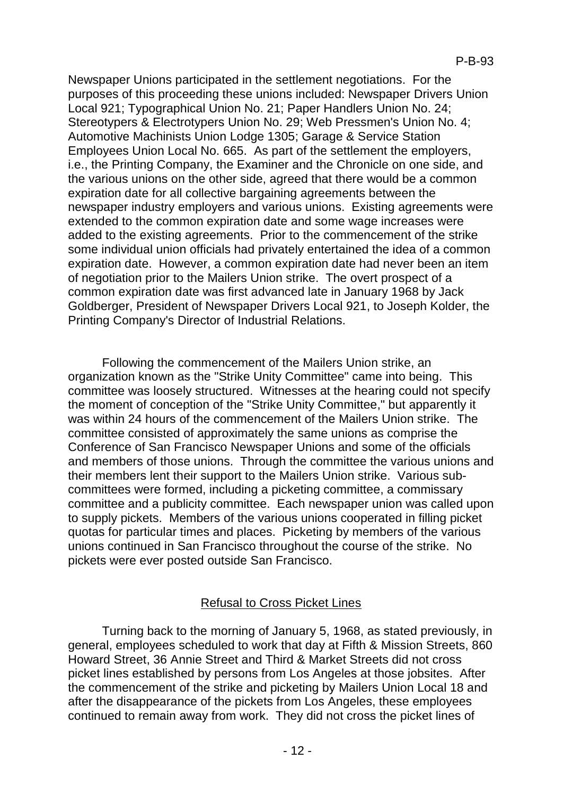Newspaper Unions participated in the settlement negotiations. For the purposes of this proceeding these unions included: Newspaper Drivers Union Local 921; Typographical Union No. 21; Paper Handlers Union No. 24; Stereotypers & Electrotypers Union No. 29; Web Pressmen's Union No. 4; Automotive Machinists Union Lodge 1305; Garage & Service Station Employees Union Local No. 665. As part of the settlement the employers, i.e., the Printing Company, the Examiner and the Chronicle on one side, and the various unions on the other side, agreed that there would be a common expiration date for all collective bargaining agreements between the newspaper industry employers and various unions. Existing agreements were extended to the common expiration date and some wage increases were added to the existing agreements. Prior to the commencement of the strike some individual union officials had privately entertained the idea of a common expiration date. However, a common expiration date had never been an item of negotiation prior to the Mailers Union strike. The overt prospect of a common expiration date was first advanced late in January 1968 by Jack Goldberger, President of Newspaper Drivers Local 921, to Joseph Kolder, the Printing Company's Director of Industrial Relations.

Following the commencement of the Mailers Union strike, an organization known as the "Strike Unity Committee" came into being. This committee was loosely structured. Witnesses at the hearing could not specify the moment of conception of the "Strike Unity Committee," but apparently it was within 24 hours of the commencement of the Mailers Union strike. The committee consisted of approximately the same unions as comprise the Conference of San Francisco Newspaper Unions and some of the officials and members of those unions. Through the committee the various unions and their members lent their support to the Mailers Union strike. Various subcommittees were formed, including a picketing committee, a commissary committee and a publicity committee. Each newspaper union was called upon to supply pickets. Members of the various unions cooperated in filling picket quotas for particular times and places. Picketing by members of the various unions continued in San Francisco throughout the course of the strike. No pickets were ever posted outside San Francisco.

# Refusal to Cross Picket Lines

Turning back to the morning of January 5, 1968, as stated previously, in general, employees scheduled to work that day at Fifth & Mission Streets, 860 Howard Street, 36 Annie Street and Third & Market Streets did not cross picket lines established by persons from Los Angeles at those jobsites. After the commencement of the strike and picketing by Mailers Union Local 18 and after the disappearance of the pickets from Los Angeles, these employees continued to remain away from work. They did not cross the picket lines of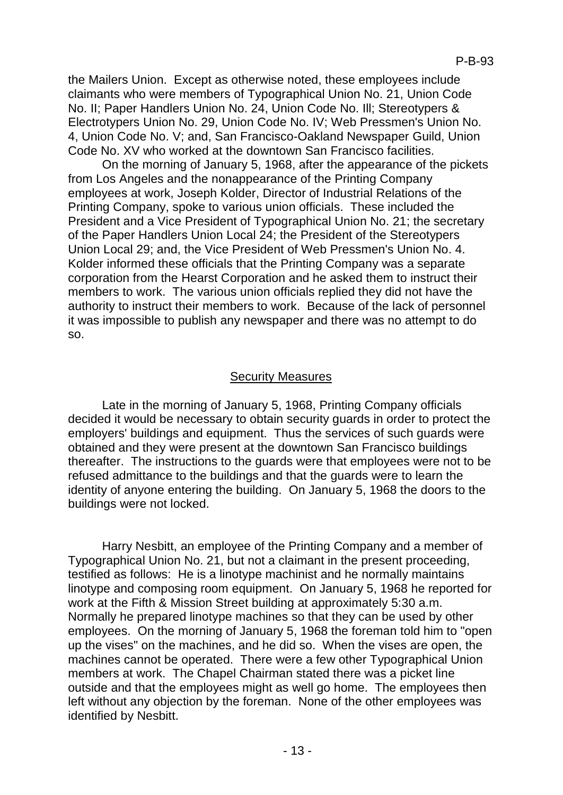the Mailers Union. Except as otherwise noted, these employees include claimants who were members of Typographical Union No. 21, Union Code No. II; Paper Handlers Union No. 24, Union Code No. Ill; Stereotypers & Electrotypers Union No. 29, Union Code No. IV; Web Pressmen's Union No. 4, Union Code No. V; and, San Francisco-Oakland Newspaper Guild, Union Code No. XV who worked at the downtown San Francisco facilities.

On the morning of January 5, 1968, after the appearance of the pickets from Los Angeles and the nonappearance of the Printing Company employees at work, Joseph Kolder, Director of Industrial Relations of the Printing Company, spoke to various union officials. These included the President and a Vice President of Typographical Union No. 21; the secretary of the Paper Handlers Union Local 24; the President of the Stereotypers Union Local 29; and, the Vice President of Web Pressmen's Union No. 4. Kolder informed these officials that the Printing Company was a separate corporation from the Hearst Corporation and he asked them to instruct their members to work. The various union officials replied they did not have the authority to instruct their members to work. Because of the lack of personnel it was impossible to publish any newspaper and there was no attempt to do so.

## Security Measures

Late in the morning of January 5, 1968, Printing Company officials decided it would be necessary to obtain security guards in order to protect the employers' buildings and equipment. Thus the services of such guards were obtained and they were present at the downtown San Francisco buildings thereafter. The instructions to the guards were that employees were not to be refused admittance to the buildings and that the guards were to learn the identity of anyone entering the building. On January 5, 1968 the doors to the buildings were not locked.

Harry Nesbitt, an employee of the Printing Company and a member of Typographical Union No. 21, but not a claimant in the present proceeding, testified as follows: He is a linotype machinist and he normally maintains linotype and composing room equipment. On January 5, 1968 he reported for work at the Fifth & Mission Street building at approximately 5:30 a.m. Normally he prepared linotype machines so that they can be used by other employees. On the morning of January 5, 1968 the foreman told him to "open up the vises" on the machines, and he did so. When the vises are open, the machines cannot be operated. There were a few other Typographical Union members at work. The Chapel Chairman stated there was a picket line outside and that the employees might as well go home. The employees then left without any objection by the foreman. None of the other employees was identified by Nesbitt.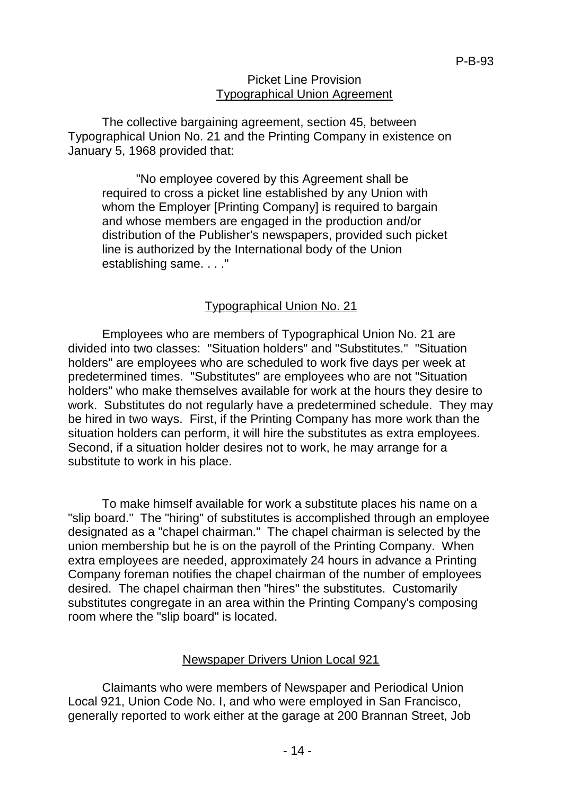### Picket Line Provision Typographical Union Agreement

The collective bargaining agreement, section 45, between Typographical Union No. 21 and the Printing Company in existence on January 5, 1968 provided that:

"No employee covered by this Agreement shall be required to cross a picket line established by any Union with whom the Employer [Printing Company] is required to bargain and whose members are engaged in the production and/or distribution of the Publisher's newspapers, provided such picket line is authorized by the International body of the Union establishing same. . . ."

## Typographical Union No. 21

Employees who are members of Typographical Union No. 21 are divided into two classes: "Situation holders" and "Substitutes." "Situation holders" are employees who are scheduled to work five days per week at predetermined times. "Substitutes" are employees who are not "Situation holders" who make themselves available for work at the hours they desire to work. Substitutes do not regularly have a predetermined schedule. They may be hired in two ways. First, if the Printing Company has more work than the situation holders can perform, it will hire the substitutes as extra employees. Second, if a situation holder desires not to work, he may arrange for a substitute to work in his place.

To make himself available for work a substitute places his name on a "slip board." The "hiring" of substitutes is accomplished through an employee designated as a "chapel chairman." The chapel chairman is selected by the union membership but he is on the payroll of the Printing Company. When extra employees are needed, approximately 24 hours in advance a Printing Company foreman notifies the chapel chairman of the number of employees desired. The chapel chairman then "hires" the substitutes. Customarily substitutes congregate in an area within the Printing Company's composing room where the "slip board" is located.

### Newspaper Drivers Union Local 921

Claimants who were members of Newspaper and Periodical Union Local 921, Union Code No. I, and who were employed in San Francisco, generally reported to work either at the garage at 200 Brannan Street, Job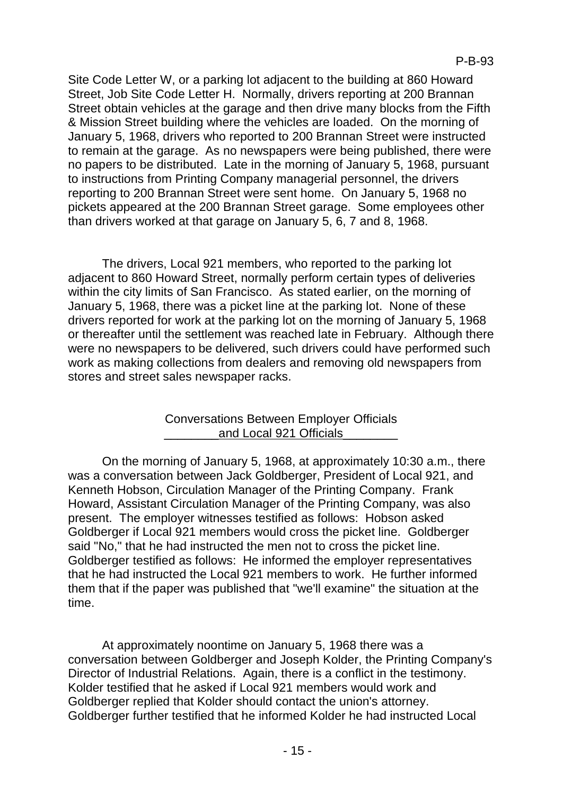Site Code Letter W, or a parking lot adjacent to the building at 860 Howard Street, Job Site Code Letter H. Normally, drivers reporting at 200 Brannan Street obtain vehicles at the garage and then drive many blocks from the Fifth & Mission Street building where the vehicles are loaded. On the morning of January 5, 1968, drivers who reported to 200 Brannan Street were instructed to remain at the garage. As no newspapers were being published, there were no papers to be distributed. Late in the morning of January 5, 1968, pursuant to instructions from Printing Company managerial personnel, the drivers reporting to 200 Brannan Street were sent home. On January 5, 1968 no pickets appeared at the 200 Brannan Street garage. Some employees other than drivers worked at that garage on January 5, 6, 7 and 8, 1968.

The drivers, Local 921 members, who reported to the parking lot adjacent to 860 Howard Street, normally perform certain types of deliveries within the city limits of San Francisco. As stated earlier, on the morning of January 5, 1968, there was a picket line at the parking lot. None of these drivers reported for work at the parking lot on the morning of January 5, 1968 or thereafter until the settlement was reached late in February. Although there were no newspapers to be delivered, such drivers could have performed such work as making collections from dealers and removing old newspapers from stores and street sales newspaper racks.

## Conversations Between Employer Officials and Local 921 Officials

On the morning of January 5, 1968, at approximately 10:30 a.m., there was a conversation between Jack Goldberger, President of Local 921, and Kenneth Hobson, Circulation Manager of the Printing Company. Frank Howard, Assistant Circulation Manager of the Printing Company, was also present. The employer witnesses testified as follows: Hobson asked Goldberger if Local 921 members would cross the picket line. Goldberger said "No," that he had instructed the men not to cross the picket line. Goldberger testified as follows: He informed the employer representatives that he had instructed the Local 921 members to work. He further informed them that if the paper was published that "we'll examine" the situation at the time.

At approximately noontime on January 5, 1968 there was a conversation between Goldberger and Joseph Kolder, the Printing Company's Director of Industrial Relations. Again, there is a conflict in the testimony. Kolder testified that he asked if Local 921 members would work and Goldberger replied that Kolder should contact the union's attorney. Goldberger further testified that he informed Kolder he had instructed Local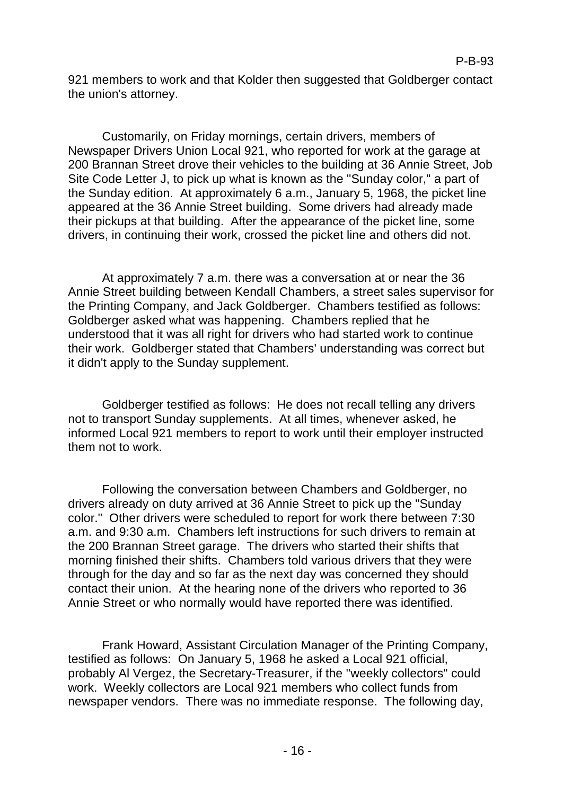921 members to work and that Kolder then suggested that Goldberger contact the union's attorney.

Customarily, on Friday mornings, certain drivers, members of Newspaper Drivers Union Local 921, who reported for work at the garage at 200 Brannan Street drove their vehicles to the building at 36 Annie Street, Job Site Code Letter J, to pick up what is known as the "Sunday color," a part of the Sunday edition. At approximately 6 a.m., January 5, 1968, the picket line appeared at the 36 Annie Street building. Some drivers had already made their pickups at that building. After the appearance of the picket line, some drivers, in continuing their work, crossed the picket line and others did not.

At approximately 7 a.m. there was a conversation at or near the 36 Annie Street building between Kendall Chambers, a street sales supervisor for the Printing Company, and Jack Goldberger. Chambers testified as follows: Goldberger asked what was happening. Chambers replied that he understood that it was all right for drivers who had started work to continue their work. Goldberger stated that Chambers' understanding was correct but it didn't apply to the Sunday supplement.

Goldberger testified as follows: He does not recall telling any drivers not to transport Sunday supplements. At all times, whenever asked, he informed Local 921 members to report to work until their employer instructed them not to work.

Following the conversation between Chambers and Goldberger, no drivers already on duty arrived at 36 Annie Street to pick up the "Sunday color." Other drivers were scheduled to report for work there between 7:30 a.m. and 9:30 a.m. Chambers left instructions for such drivers to remain at the 200 Brannan Street garage. The drivers who started their shifts that morning finished their shifts. Chambers told various drivers that they were through for the day and so far as the next day was concerned they should contact their union. At the hearing none of the drivers who reported to 36 Annie Street or who normally would have reported there was identified.

Frank Howard, Assistant Circulation Manager of the Printing Company, testified as follows: On January 5, 1968 he asked a Local 921 official, probably Al Vergez, the Secretary-Treasurer, if the "weekly collectors" could work. Weekly collectors are Local 921 members who collect funds from newspaper vendors. There was no immediate response. The following day,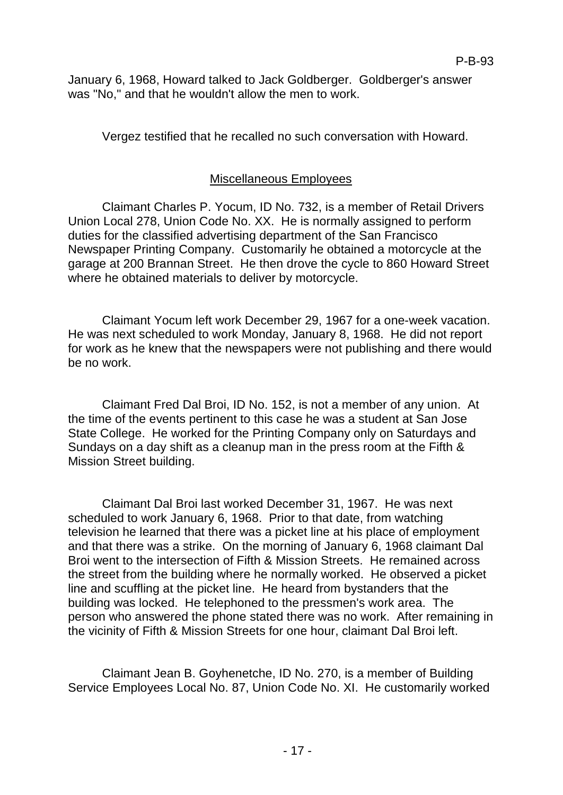January 6, 1968, Howard talked to Jack Goldberger. Goldberger's answer was "No," and that he wouldn't allow the men to work.

Vergez testified that he recalled no such conversation with Howard.

# Miscellaneous Employees

Claimant Charles P. Yocum, ID No. 732, is a member of Retail Drivers Union Local 278, Union Code No. XX. He is normally assigned to perform duties for the classified advertising department of the San Francisco Newspaper Printing Company. Customarily he obtained a motorcycle at the garage at 200 Brannan Street. He then drove the cycle to 860 Howard Street where he obtained materials to deliver by motorcycle.

Claimant Yocum left work December 29, 1967 for a one-week vacation. He was next scheduled to work Monday, January 8, 1968. He did not report for work as he knew that the newspapers were not publishing and there would be no work.

Claimant Fred Dal Broi, ID No. 152, is not a member of any union. At the time of the events pertinent to this case he was a student at San Jose State College. He worked for the Printing Company only on Saturdays and Sundays on a day shift as a cleanup man in the press room at the Fifth & Mission Street building.

Claimant Dal Broi last worked December 31, 1967. He was next scheduled to work January 6, 1968. Prior to that date, from watching television he learned that there was a picket line at his place of employment and that there was a strike. On the morning of January 6, 1968 claimant Dal Broi went to the intersection of Fifth & Mission Streets. He remained across the street from the building where he normally worked. He observed a picket line and scuffling at the picket line. He heard from bystanders that the building was locked. He telephoned to the pressmen's work area. The person who answered the phone stated there was no work. After remaining in the vicinity of Fifth & Mission Streets for one hour, claimant Dal Broi left.

Claimant Jean B. Goyhenetche, ID No. 270, is a member of Building Service Employees Local No. 87, Union Code No. XI. He customarily worked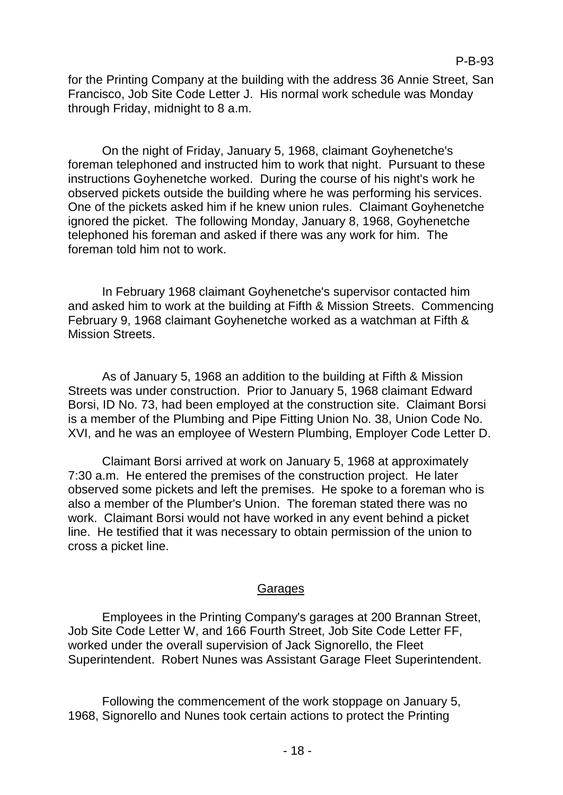for the Printing Company at the building with the address 36 Annie Street, San Francisco, Job Site Code Letter J. His normal work schedule was Monday through Friday, midnight to 8 a.m.

On the night of Friday, January 5, 1968, claimant Goyhenetche's foreman telephoned and instructed him to work that night. Pursuant to these instructions Goyhenetche worked. During the course of his night's work he observed pickets outside the building where he was performing his services. One of the pickets asked him if he knew union rules. Claimant Goyhenetche ignored the picket. The following Monday, January 8, 1968, Goyhenetche telephoned his foreman and asked if there was any work for him. The foreman told him not to work.

In February 1968 claimant Goyhenetche's supervisor contacted him and asked him to work at the building at Fifth & Mission Streets. Commencing February 9, 1968 claimant Goyhenetche worked as a watchman at Fifth & Mission Streets.

As of January 5, 1968 an addition to the building at Fifth & Mission Streets was under construction. Prior to January 5, 1968 claimant Edward Borsi, ID No. 73, had been employed at the construction site. Claimant Borsi is a member of the Plumbing and Pipe Fitting Union No. 38, Union Code No. XVI, and he was an employee of Western Plumbing, Employer Code Letter D.

Claimant Borsi arrived at work on January 5, 1968 at approximately 7:30 a.m. He entered the premises of the construction project. He later observed some pickets and left the premises. He spoke to a foreman who is also a member of the Plumber's Union. The foreman stated there was no work. Claimant Borsi would not have worked in any event behind a picket line. He testified that it was necessary to obtain permission of the union to cross a picket line.

## Garages

Employees in the Printing Company's garages at 200 Brannan Street, Job Site Code Letter W, and 166 Fourth Street, Job Site Code Letter FF, worked under the overall supervision of Jack Signorello, the Fleet Superintendent. Robert Nunes was Assistant Garage Fleet Superintendent.

Following the commencement of the work stoppage on January 5, 1968, Signorello and Nunes took certain actions to protect the Printing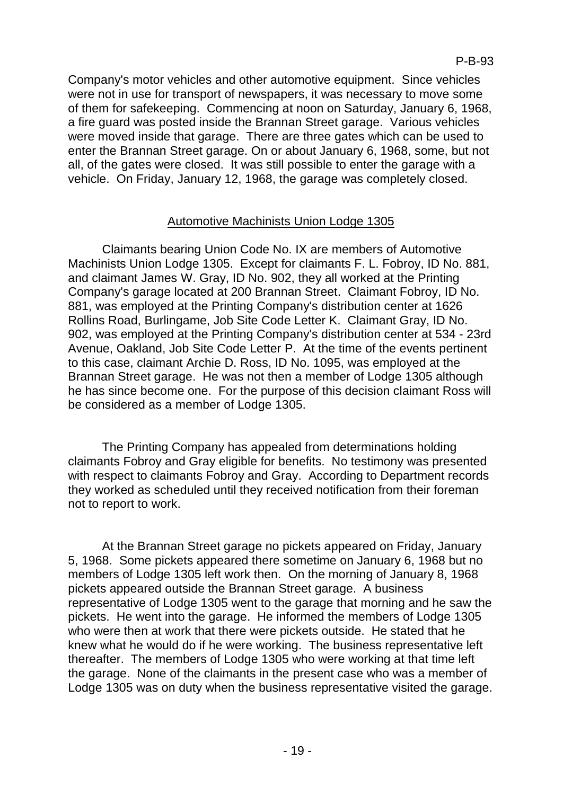Company's motor vehicles and other automotive equipment. Since vehicles were not in use for transport of newspapers, it was necessary to move some of them for safekeeping. Commencing at noon on Saturday, January 6, 1968, a fire guard was posted inside the Brannan Street garage. Various vehicles were moved inside that garage. There are three gates which can be used to enter the Brannan Street garage. On or about January 6, 1968, some, but not all, of the gates were closed. It was still possible to enter the garage with a vehicle. On Friday, January 12, 1968, the garage was completely closed.

## Automotive Machinists Union Lodge 1305

Claimants bearing Union Code No. IX are members of Automotive Machinists Union Lodge 1305. Except for claimants F. L. Fobroy, ID No. 881, and claimant James W. Gray, ID No. 902, they all worked at the Printing Company's garage located at 200 Brannan Street. Claimant Fobroy, ID No. 881, was employed at the Printing Company's distribution center at 1626 Rollins Road, Burlingame, Job Site Code Letter K. Claimant Gray, ID No. 902, was employed at the Printing Company's distribution center at 534 - 23rd Avenue, Oakland, Job Site Code Letter P. At the time of the events pertinent to this case, claimant Archie D. Ross, ID No. 1095, was employed at the Brannan Street garage. He was not then a member of Lodge 1305 although he has since become one. For the purpose of this decision claimant Ross will be considered as a member of Lodge 1305.

The Printing Company has appealed from determinations holding claimants Fobroy and Gray eligible for benefits. No testimony was presented with respect to claimants Fobroy and Gray. According to Department records they worked as scheduled until they received notification from their foreman not to report to work.

At the Brannan Street garage no pickets appeared on Friday, January 5, 1968. Some pickets appeared there sometime on January 6, 1968 but no members of Lodge 1305 left work then. On the morning of January 8, 1968 pickets appeared outside the Brannan Street garage. A business representative of Lodge 1305 went to the garage that morning and he saw the pickets. He went into the garage. He informed the members of Lodge 1305 who were then at work that there were pickets outside. He stated that he knew what he would do if he were working. The business representative left thereafter. The members of Lodge 1305 who were working at that time left the garage. None of the claimants in the present case who was a member of Lodge 1305 was on duty when the business representative visited the garage.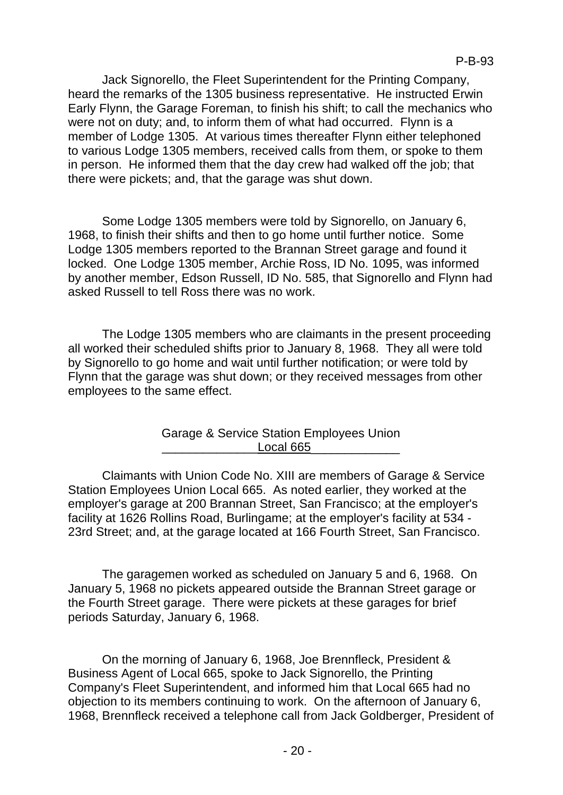Jack Signorello, the Fleet Superintendent for the Printing Company, heard the remarks of the 1305 business representative. He instructed Erwin Early Flynn, the Garage Foreman, to finish his shift; to call the mechanics who were not on duty; and, to inform them of what had occurred. Flynn is a member of Lodge 1305. At various times thereafter Flynn either telephoned to various Lodge 1305 members, received calls from them, or spoke to them in person. He informed them that the day crew had walked off the job; that there were pickets; and, that the garage was shut down.

Some Lodge 1305 members were told by Signorello, on January 6, 1968, to finish their shifts and then to go home until further notice. Some Lodge 1305 members reported to the Brannan Street garage and found it locked. One Lodge 1305 member, Archie Ross, ID No. 1095, was informed by another member, Edson Russell, ID No. 585, that Signorello and Flynn had asked Russell to tell Ross there was no work.

The Lodge 1305 members who are claimants in the present proceeding all worked their scheduled shifts prior to January 8, 1968. They all were told by Signorello to go home and wait until further notification; or were told by Flynn that the garage was shut down; or they received messages from other employees to the same effect.

> Garage & Service Station Employees Union Local 665

Claimants with Union Code No. XIII are members of Garage & Service Station Employees Union Local 665. As noted earlier, they worked at the employer's garage at 200 Brannan Street, San Francisco; at the employer's facility at 1626 Rollins Road, Burlingame; at the employer's facility at 534 - 23rd Street; and, at the garage located at 166 Fourth Street, San Francisco.

The garagemen worked as scheduled on January 5 and 6, 1968. On January 5, 1968 no pickets appeared outside the Brannan Street garage or the Fourth Street garage. There were pickets at these garages for brief periods Saturday, January 6, 1968.

On the morning of January 6, 1968, Joe Brennfleck, President & Business Agent of Local 665, spoke to Jack Signorello, the Printing Company's Fleet Superintendent, and informed him that Local 665 had no objection to its members continuing to work. On the afternoon of January 6, 1968, Brennfleck received a telephone call from Jack Goldberger, President of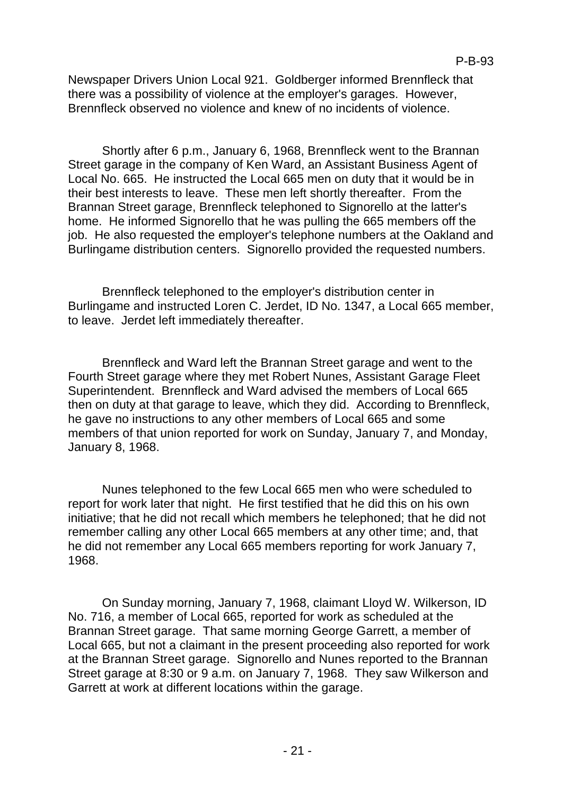Newspaper Drivers Union Local 921. Goldberger informed Brennfleck that there was a possibility of violence at the employer's garages. However, Brennfleck observed no violence and knew of no incidents of violence.

Shortly after 6 p.m., January 6, 1968, Brennfleck went to the Brannan Street garage in the company of Ken Ward, an Assistant Business Agent of Local No. 665. He instructed the Local 665 men on duty that it would be in their best interests to leave. These men left shortly thereafter. From the Brannan Street garage, Brennfleck telephoned to Signorello at the latter's home. He informed Signorello that he was pulling the 665 members off the job. He also requested the employer's telephone numbers at the Oakland and Burlingame distribution centers. Signorello provided the requested numbers.

Brennfleck telephoned to the employer's distribution center in Burlingame and instructed Loren C. Jerdet, ID No. 1347, a Local 665 member, to leave. Jerdet left immediately thereafter.

Brennfleck and Ward left the Brannan Street garage and went to the Fourth Street garage where they met Robert Nunes, Assistant Garage Fleet Superintendent. Brennfleck and Ward advised the members of Local 665 then on duty at that garage to leave, which they did. According to Brennfleck, he gave no instructions to any other members of Local 665 and some members of that union reported for work on Sunday, January 7, and Monday, January 8, 1968.

Nunes telephoned to the few Local 665 men who were scheduled to report for work later that night. He first testified that he did this on his own initiative; that he did not recall which members he telephoned; that he did not remember calling any other Local 665 members at any other time; and, that he did not remember any Local 665 members reporting for work January 7, 1968.

On Sunday morning, January 7, 1968, claimant Lloyd W. Wilkerson, ID No. 716, a member of Local 665, reported for work as scheduled at the Brannan Street garage. That same morning George Garrett, a member of Local 665, but not a claimant in the present proceeding also reported for work at the Brannan Street garage. Signorello and Nunes reported to the Brannan Street garage at 8:30 or 9 a.m. on January 7, 1968. They saw Wilkerson and Garrett at work at different locations within the garage.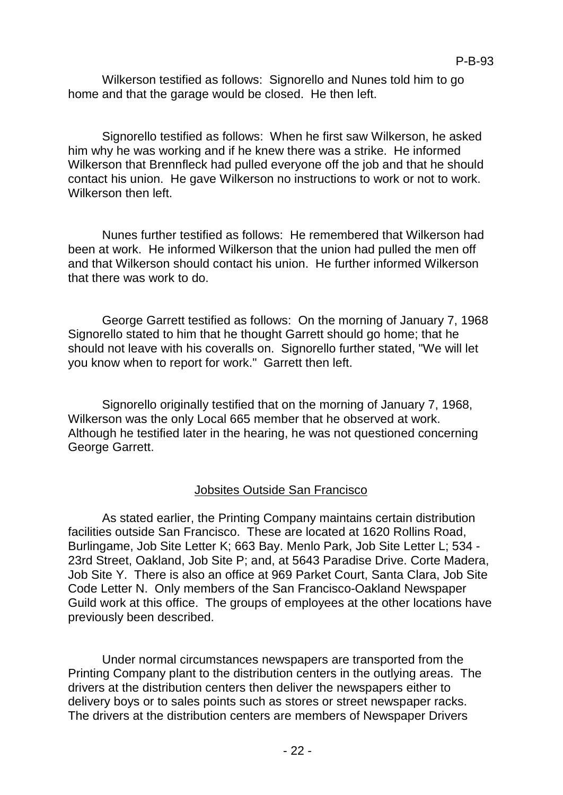Wilkerson testified as follows: Signorello and Nunes told him to go home and that the garage would be closed. He then left.

Signorello testified as follows: When he first saw Wilkerson, he asked him why he was working and if he knew there was a strike. He informed Wilkerson that Brennfleck had pulled everyone off the job and that he should contact his union. He gave Wilkerson no instructions to work or not to work. Wilkerson then left.

Nunes further testified as follows: He remembered that Wilkerson had been at work. He informed Wilkerson that the union had pulled the men off and that Wilkerson should contact his union. He further informed Wilkerson that there was work to do.

George Garrett testified as follows: On the morning of January 7, 1968 Signorello stated to him that he thought Garrett should go home; that he should not leave with his coveralls on. Signorello further stated, "We will let you know when to report for work." Garrett then left.

Signorello originally testified that on the morning of January 7, 1968, Wilkerson was the only Local 665 member that he observed at work. Although he testified later in the hearing, he was not questioned concerning George Garrett.

## Jobsites Outside San Francisco

As stated earlier, the Printing Company maintains certain distribution facilities outside San Francisco. These are located at 1620 Rollins Road, Burlingame, Job Site Letter K; 663 Bay. Menlo Park, Job Site Letter L; 534 - 23rd Street, Oakland, Job Site P; and, at 5643 Paradise Drive. Corte Madera, Job Site Y. There is also an office at 969 Parket Court, Santa Clara, Job Site Code Letter N. Only members of the San Francisco-Oakland Newspaper Guild work at this office. The groups of employees at the other locations have previously been described.

Under normal circumstances newspapers are transported from the Printing Company plant to the distribution centers in the outlying areas. The drivers at the distribution centers then deliver the newspapers either to delivery boys or to sales points such as stores or street newspaper racks. The drivers at the distribution centers are members of Newspaper Drivers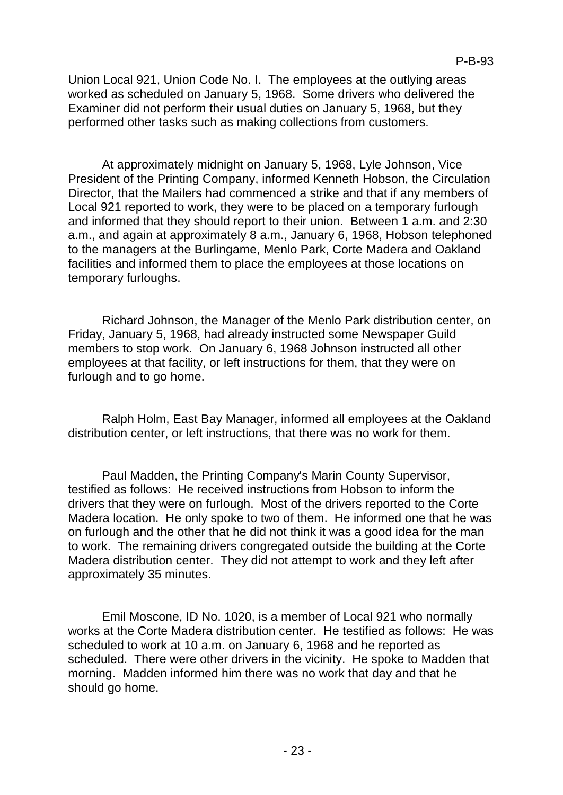Union Local 921, Union Code No. I. The employees at the outlying areas worked as scheduled on January 5, 1968. Some drivers who delivered the Examiner did not perform their usual duties on January 5, 1968, but they performed other tasks such as making collections from customers.

At approximately midnight on January 5, 1968, Lyle Johnson, Vice President of the Printing Company, informed Kenneth Hobson, the Circulation Director, that the Mailers had commenced a strike and that if any members of Local 921 reported to work, they were to be placed on a temporary furlough and informed that they should report to their union. Between 1 a.m. and 2:30 a.m., and again at approximately 8 a.m., January 6, 1968, Hobson telephoned to the managers at the Burlingame, Menlo Park, Corte Madera and Oakland facilities and informed them to place the employees at those locations on temporary furloughs.

Richard Johnson, the Manager of the Menlo Park distribution center, on Friday, January 5, 1968, had already instructed some Newspaper Guild members to stop work. On January 6, 1968 Johnson instructed all other employees at that facility, or left instructions for them, that they were on furlough and to go home.

Ralph Holm, East Bay Manager, informed all employees at the Oakland distribution center, or left instructions, that there was no work for them.

Paul Madden, the Printing Company's Marin County Supervisor, testified as follows: He received instructions from Hobson to inform the drivers that they were on furlough. Most of the drivers reported to the Corte Madera location. He only spoke to two of them. He informed one that he was on furlough and the other that he did not think it was a good idea for the man to work. The remaining drivers congregated outside the building at the Corte Madera distribution center. They did not attempt to work and they left after approximately 35 minutes.

Emil Moscone, ID No. 1020, is a member of Local 921 who normally works at the Corte Madera distribution center. He testified as follows: He was scheduled to work at 10 a.m. on January 6, 1968 and he reported as scheduled. There were other drivers in the vicinity. He spoke to Madden that morning. Madden informed him there was no work that day and that he should go home.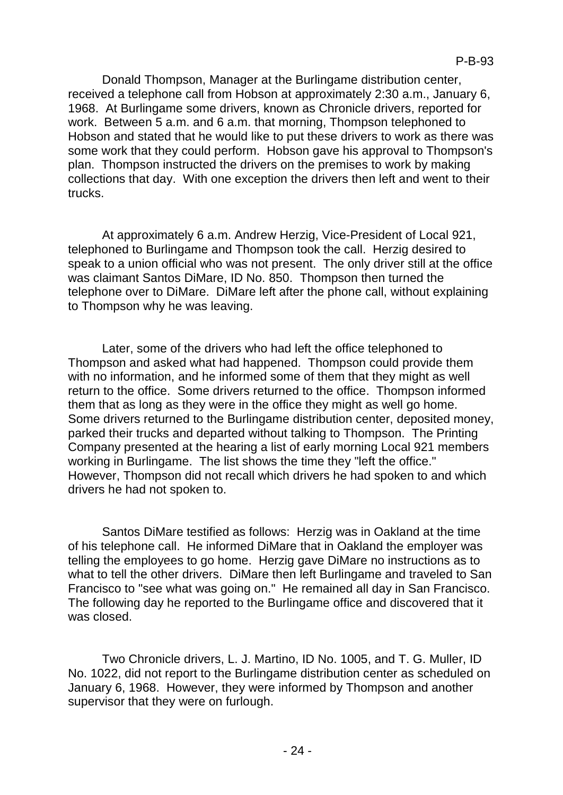Donald Thompson, Manager at the Burlingame distribution center, received a telephone call from Hobson at approximately 2:30 a.m., January 6, 1968. At Burlingame some drivers, known as Chronicle drivers, reported for work. Between 5 a.m. and 6 a.m. that morning, Thompson telephoned to Hobson and stated that he would like to put these drivers to work as there was some work that they could perform. Hobson gave his approval to Thompson's plan. Thompson instructed the drivers on the premises to work by making collections that day. With one exception the drivers then left and went to their trucks.

At approximately 6 a.m. Andrew Herzig, Vice-President of Local 921, telephoned to Burlingame and Thompson took the call. Herzig desired to speak to a union official who was not present. The only driver still at the office was claimant Santos DiMare, ID No. 850. Thompson then turned the telephone over to DiMare. DiMare left after the phone call, without explaining to Thompson why he was leaving.

Later, some of the drivers who had left the office telephoned to Thompson and asked what had happened. Thompson could provide them with no information, and he informed some of them that they might as well return to the office. Some drivers returned to the office. Thompson informed them that as long as they were in the office they might as well go home. Some drivers returned to the Burlingame distribution center, deposited money, parked their trucks and departed without talking to Thompson. The Printing Company presented at the hearing a list of early morning Local 921 members working in Burlingame. The list shows the time they "left the office." However, Thompson did not recall which drivers he had spoken to and which drivers he had not spoken to.

Santos DiMare testified as follows: Herzig was in Oakland at the time of his telephone call. He informed DiMare that in Oakland the employer was telling the employees to go home. Herzig gave DiMare no instructions as to what to tell the other drivers. DiMare then left Burlingame and traveled to San Francisco to "see what was going on." He remained all day in San Francisco. The following day he reported to the Burlingame office and discovered that it was closed.

Two Chronicle drivers, L. J. Martino, ID No. 1005, and T. G. Muller, ID No. 1022, did not report to the Burlingame distribution center as scheduled on January 6, 1968. However, they were informed by Thompson and another supervisor that they were on furlough.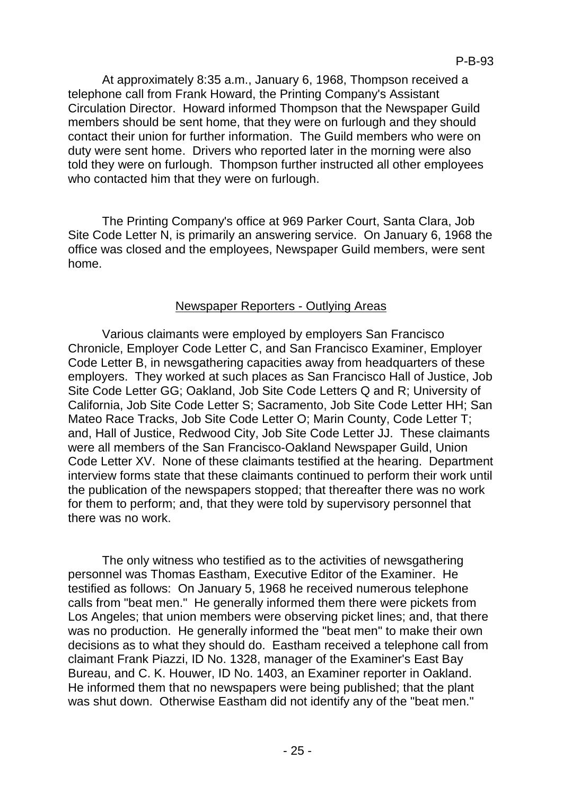At approximately 8:35 a.m., January 6, 1968, Thompson received a telephone call from Frank Howard, the Printing Company's Assistant Circulation Director. Howard informed Thompson that the Newspaper Guild members should be sent home, that they were on furlough and they should contact their union for further information. The Guild members who were on duty were sent home. Drivers who reported later in the morning were also told they were on furlough. Thompson further instructed all other employees who contacted him that they were on furlough.

The Printing Company's office at 969 Parker Court, Santa Clara, Job Site Code Letter N, is primarily an answering service. On January 6, 1968 the office was closed and the employees, Newspaper Guild members, were sent home.

# Newspaper Reporters - Outlying Areas

Various claimants were employed by employers San Francisco Chronicle, Employer Code Letter C, and San Francisco Examiner, Employer Code Letter B, in newsgathering capacities away from headquarters of these employers. They worked at such places as San Francisco Hall of Justice, Job Site Code Letter GG; Oakland, Job Site Code Letters Q and R; University of California, Job Site Code Letter S; Sacramento, Job Site Code Letter HH; San Mateo Race Tracks, Job Site Code Letter O; Marin County, Code Letter T; and, Hall of Justice, Redwood City, Job Site Code Letter JJ. These claimants were all members of the San Francisco-Oakland Newspaper Guild, Union Code Letter XV. None of these claimants testified at the hearing. Department interview forms state that these claimants continued to perform their work until the publication of the newspapers stopped; that thereafter there was no work for them to perform; and, that they were told by supervisory personnel that there was no work.

The only witness who testified as to the activities of newsgathering personnel was Thomas Eastham, Executive Editor of the Examiner. He testified as follows: On January 5, 1968 he received numerous telephone calls from "beat men." He generally informed them there were pickets from Los Angeles; that union members were observing picket lines; and, that there was no production. He generally informed the "beat men" to make their own decisions as to what they should do. Eastham received a telephone call from claimant Frank Piazzi, ID No. 1328, manager of the Examiner's East Bay Bureau, and C. K. Houwer, ID No. 1403, an Examiner reporter in Oakland. He informed them that no newspapers were being published; that the plant was shut down. Otherwise Eastham did not identify any of the "beat men."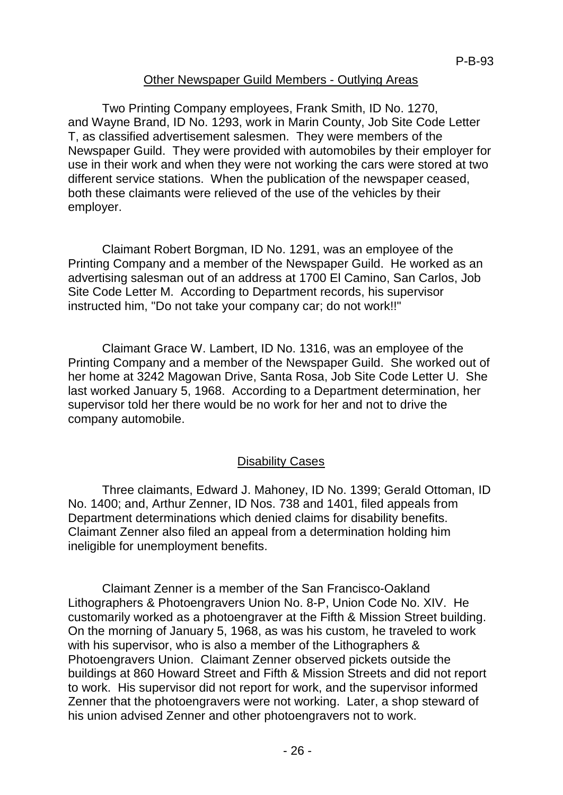## Other Newspaper Guild Members - Outlying Areas

Two Printing Company employees, Frank Smith, ID No. 1270, and Wayne Brand, ID No. 1293, work in Marin County, Job Site Code Letter T, as classified advertisement salesmen. They were members of the Newspaper Guild. They were provided with automobiles by their employer for use in their work and when they were not working the cars were stored at two different service stations. When the publication of the newspaper ceased, both these claimants were relieved of the use of the vehicles by their employer.

Claimant Robert Borgman, ID No. 1291, was an employee of the Printing Company and a member of the Newspaper Guild. He worked as an advertising salesman out of an address at 1700 El Camino, San Carlos, Job Site Code Letter M. According to Department records, his supervisor instructed him, "Do not take your company car; do not work!!"

Claimant Grace W. Lambert, ID No. 1316, was an employee of the Printing Company and a member of the Newspaper Guild. She worked out of her home at 3242 Magowan Drive, Santa Rosa, Job Site Code Letter U. She last worked January 5, 1968. According to a Department determination, her supervisor told her there would be no work for her and not to drive the company automobile.

## Disability Cases

Three claimants, Edward J. Mahoney, ID No. 1399; Gerald Ottoman, ID No. 1400; and, Arthur Zenner, ID Nos. 738 and 1401, filed appeals from Department determinations which denied claims for disability benefits. Claimant Zenner also filed an appeal from a determination holding him ineligible for unemployment benefits.

Claimant Zenner is a member of the San Francisco-Oakland Lithographers & Photoengravers Union No. 8-P, Union Code No. XIV. He customarily worked as a photoengraver at the Fifth & Mission Street building. On the morning of January 5, 1968, as was his custom, he traveled to work with his supervisor, who is also a member of the Lithographers & Photoengravers Union. Claimant Zenner observed pickets outside the buildings at 860 Howard Street and Fifth & Mission Streets and did not report to work. His supervisor did not report for work, and the supervisor informed Zenner that the photoengravers were not working. Later, a shop steward of his union advised Zenner and other photoengravers not to work.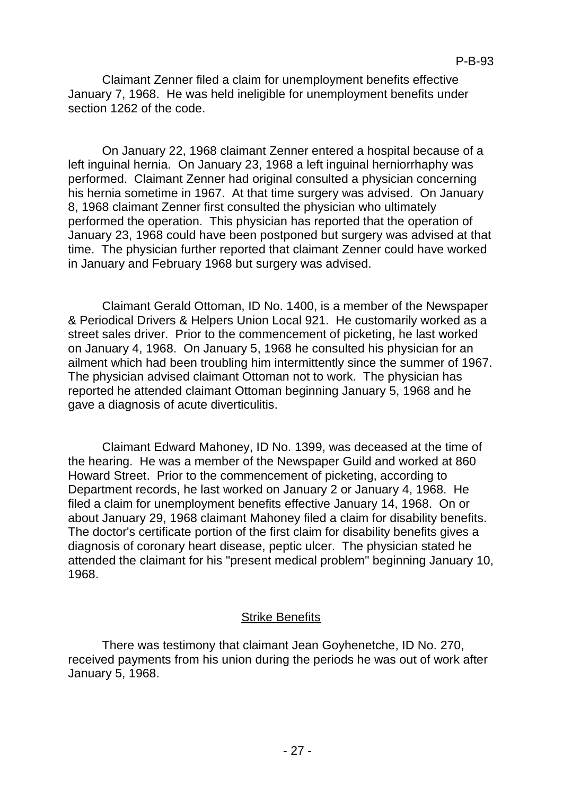Claimant Zenner filed a claim for unemployment benefits effective January 7, 1968. He was held ineligible for unemployment benefits under section 1262 of the code.

On January 22, 1968 claimant Zenner entered a hospital because of a left inguinal hernia. On January 23, 1968 a left inguinal herniorrhaphy was performed. Claimant Zenner had original consulted a physician concerning his hernia sometime in 1967. At that time surgery was advised. On January 8, 1968 claimant Zenner first consulted the physician who ultimately performed the operation. This physician has reported that the operation of January 23, 1968 could have been postponed but surgery was advised at that time. The physician further reported that claimant Zenner could have worked in January and February 1968 but surgery was advised.

Claimant Gerald Ottoman, ID No. 1400, is a member of the Newspaper & Periodical Drivers & Helpers Union Local 921. He customarily worked as a street sales driver. Prior to the commencement of picketing, he last worked on January 4, 1968. On January 5, 1968 he consulted his physician for an ailment which had been troubling him intermittently since the summer of 1967. The physician advised claimant Ottoman not to work. The physician has reported he attended claimant Ottoman beginning January 5, 1968 and he gave a diagnosis of acute diverticulitis.

Claimant Edward Mahoney, ID No. 1399, was deceased at the time of the hearing. He was a member of the Newspaper Guild and worked at 860 Howard Street. Prior to the commencement of picketing, according to Department records, he last worked on January 2 or January 4, 1968. He filed a claim for unemployment benefits effective January 14, 1968. On or about January 29, 1968 claimant Mahoney filed a claim for disability benefits. The doctor's certificate portion of the first claim for disability benefits gives a diagnosis of coronary heart disease, peptic ulcer. The physician stated he attended the claimant for his "present medical problem" beginning January 10, 1968.

## Strike Benefits

There was testimony that claimant Jean Goyhenetche, ID No. 270, received payments from his union during the periods he was out of work after January 5, 1968.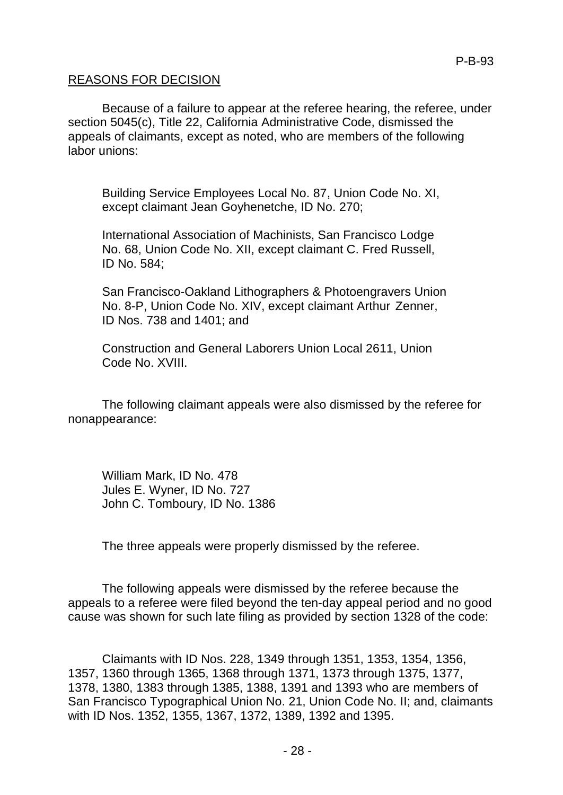### REASONS FOR DECISION

Because of a failure to appear at the referee hearing, the referee, under section 5045(c), Title 22, California Administrative Code, dismissed the appeals of claimants, except as noted, who are members of the following labor unions:

Building Service Employees Local No. 87, Union Code No. XI, except claimant Jean Goyhenetche, ID No. 270;

International Association of Machinists, San Francisco Lodge No. 68, Union Code No. XII, except claimant C. Fred Russell, ID No. 584;

San Francisco-Oakland Lithographers & Photoengravers Union No. 8-P, Union Code No. XIV, except claimant Arthur Zenner, ID Nos. 738 and 1401; and

Construction and General Laborers Union Local 2611, Union Code No. XVIII.

The following claimant appeals were also dismissed by the referee for nonappearance:

William Mark, ID No. 478 Jules E. Wyner, ID No. 727 John C. Tomboury, ID No. 1386

The three appeals were properly dismissed by the referee.

The following appeals were dismissed by the referee because the appeals to a referee were filed beyond the ten-day appeal period and no good cause was shown for such late filing as provided by section 1328 of the code:

Claimants with ID Nos. 228, 1349 through 1351, 1353, 1354, 1356, 1357, 1360 through 1365, 1368 through 1371, 1373 through 1375, 1377, 1378, 1380, 1383 through 1385, 1388, 1391 and 1393 who are members of San Francisco Typographical Union No. 21, Union Code No. II; and, claimants with ID Nos. 1352, 1355, 1367, 1372, 1389, 1392 and 1395.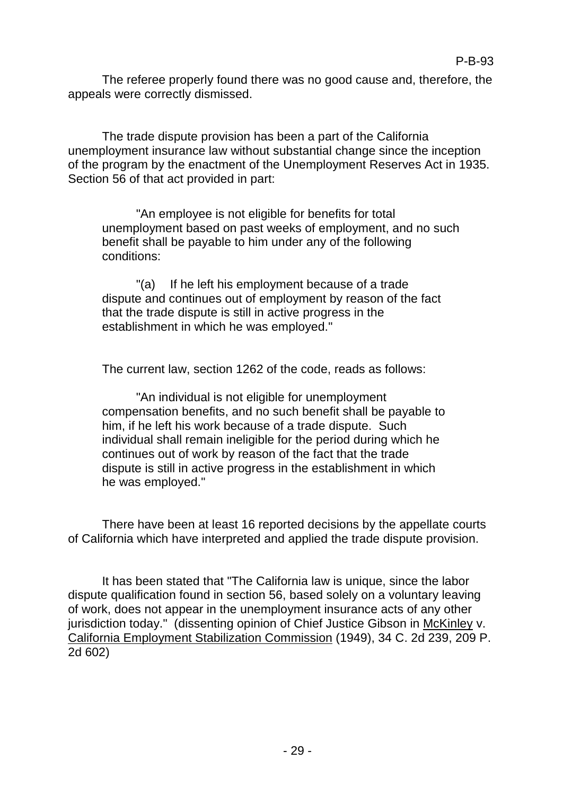The referee properly found there was no good cause and, therefore, the appeals were correctly dismissed.

The trade dispute provision has been a part of the California unemployment insurance law without substantial change since the inception of the program by the enactment of the Unemployment Reserves Act in 1935. Section 56 of that act provided in part:

"An employee is not eligible for benefits for total unemployment based on past weeks of employment, and no such benefit shall be payable to him under any of the following conditions:

"(a) If he left his employment because of a trade dispute and continues out of employment by reason of the fact that the trade dispute is still in active progress in the establishment in which he was employed."

The current law, section 1262 of the code, reads as follows:

"An individual is not eligible for unemployment compensation benefits, and no such benefit shall be payable to him, if he left his work because of a trade dispute. Such individual shall remain ineligible for the period during which he continues out of work by reason of the fact that the trade dispute is still in active progress in the establishment in which he was employed."

There have been at least 16 reported decisions by the appellate courts of California which have interpreted and applied the trade dispute provision.

It has been stated that "The California law is unique, since the labor dispute qualification found in section 56, based solely on a voluntary leaving of work, does not appear in the unemployment insurance acts of any other jurisdiction today." (dissenting opinion of Chief Justice Gibson in McKinley v. California Employment Stabilization Commission (1949), 34 C. 2d 239, 209 P. 2d 602)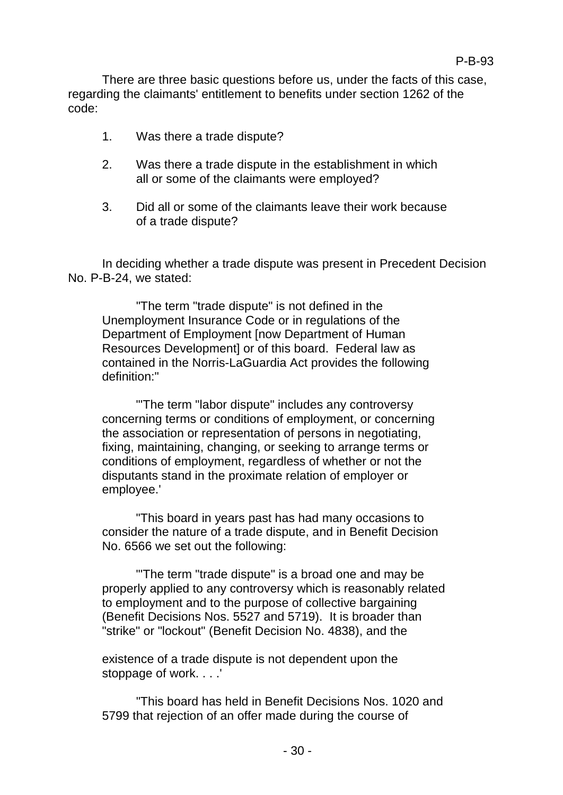There are three basic questions before us, under the facts of this case, regarding the claimants' entitlement to benefits under section 1262 of the code:

- 1. Was there a trade dispute?
- 2. Was there a trade dispute in the establishment in which all or some of the claimants were employed?
- 3. Did all or some of the claimants leave their work because of a trade dispute?

In deciding whether a trade dispute was present in Precedent Decision No. P-B-24, we stated:

"The term "trade dispute" is not defined in the Unemployment Insurance Code or in regulations of the Department of Employment [now Department of Human Resources Development] or of this board. Federal law as contained in the Norris-LaGuardia Act provides the following definition:"

"'The term "labor dispute" includes any controversy concerning terms or conditions of employment, or concerning the association or representation of persons in negotiating, fixing, maintaining, changing, or seeking to arrange terms or conditions of employment, regardless of whether or not the disputants stand in the proximate relation of employer or employee.'

"This board in years past has had many occasions to consider the nature of a trade dispute, and in Benefit Decision No. 6566 we set out the following:

"'The term "trade dispute" is a broad one and may be properly applied to any controversy which is reasonably related to employment and to the purpose of collective bargaining (Benefit Decisions Nos. 5527 and 5719). It is broader than "strike" or "lockout" (Benefit Decision No. 4838), and the

existence of a trade dispute is not dependent upon the stoppage of work. . . .'

"This board has held in Benefit Decisions Nos. 1020 and 5799 that rejection of an offer made during the course of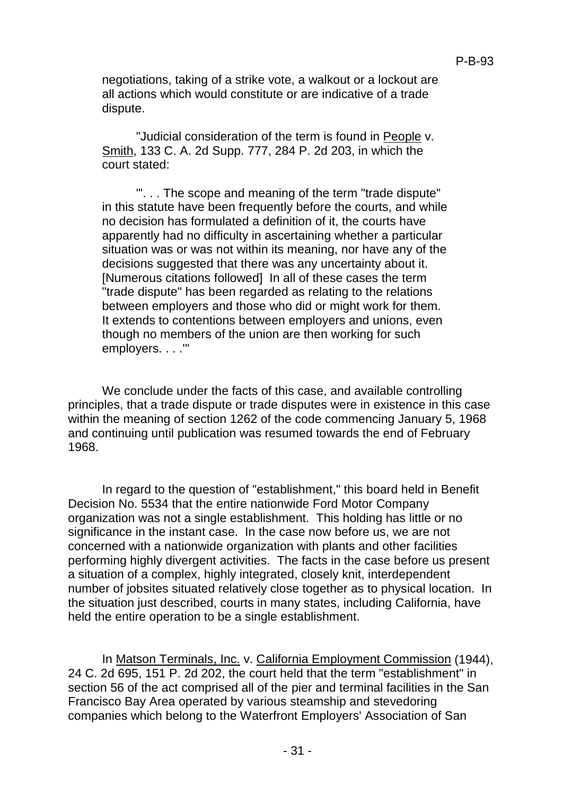negotiations, taking of a strike vote, a walkout or a lockout are all actions which would constitute or are indicative of a trade dispute.

"Judicial consideration of the term is found in People v. Smith, 133 C. A. 2d Supp. 777, 284 P. 2d 203, in which the court stated:

"'. . . The scope and meaning of the term "trade dispute" in this statute have been frequently before the courts, and while no decision has formulated a definition of it, the courts have apparently had no difficulty in ascertaining whether a particular situation was or was not within its meaning, nor have any of the decisions suggested that there was any uncertainty about it. [Numerous citations followed] In all of these cases the term "trade dispute" has been regarded as relating to the relations between employers and those who did or might work for them. It extends to contentions between employers and unions, even though no members of the union are then working for such employers. . . .'"

We conclude under the facts of this case, and available controlling principles, that a trade dispute or trade disputes were in existence in this case within the meaning of section 1262 of the code commencing January 5, 1968 and continuing until publication was resumed towards the end of February 1968.

In regard to the question of "establishment," this board held in Benefit Decision No. 5534 that the entire nationwide Ford Motor Company organization was not a single establishment. This holding has little or no significance in the instant case. In the case now before us, we are not concerned with a nationwide organization with plants and other facilities performing highly divergent activities. The facts in the case before us present a situation of a complex, highly integrated, closely knit, interdependent number of jobsites situated relatively close together as to physical location. In the situation just described, courts in many states, including California, have held the entire operation to be a single establishment.

In Matson Terminals, Inc. v. California Employment Commission (1944), 24 C. 2d 695, 151 P. 2d 202, the court held that the term "establishment" in section 56 of the act comprised all of the pier and terminal facilities in the San Francisco Bay Area operated by various steamship and stevedoring companies which belong to the Waterfront Employers' Association of San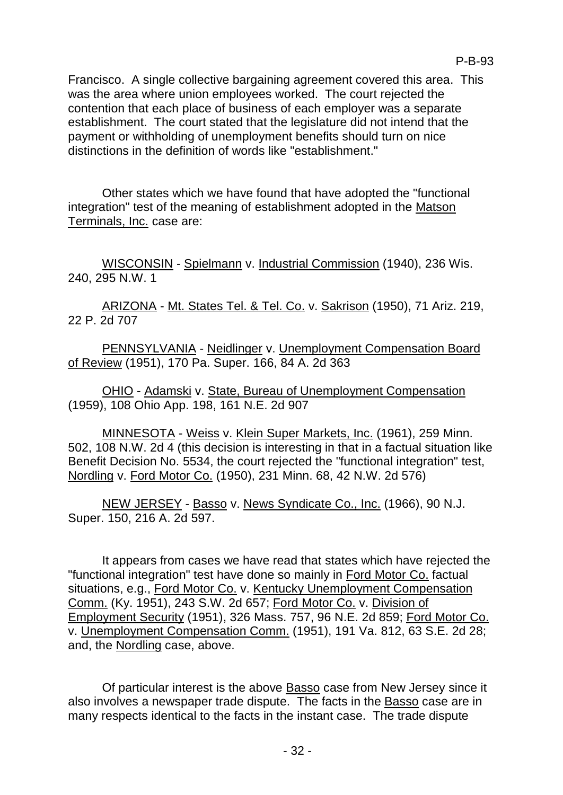Francisco. A single collective bargaining agreement covered this area. This was the area where union employees worked. The court rejected the contention that each place of business of each employer was a separate establishment. The court stated that the legislature did not intend that the payment or withholding of unemployment benefits should turn on nice distinctions in the definition of words like "establishment."

Other states which we have found that have adopted the "functional integration" test of the meaning of establishment adopted in the Matson Terminals, Inc. case are:

WISCONSIN - Spielmann v. Industrial Commission (1940), 236 Wis. 240, 295 N.W. 1

ARIZONA - Mt. States Tel. & Tel. Co. v. Sakrison (1950), 71 Ariz. 219, 22 P. 2d 707

PENNSYLVANIA - Neidlinger v. Unemployment Compensation Board of Review (1951), 170 Pa. Super. 166, 84 A. 2d 363

OHIO - Adamski v. State, Bureau of Unemployment Compensation (1959), 108 Ohio App. 198, 161 N.E. 2d 907

MINNESOTA - Weiss v. Klein Super Markets, Inc. (1961), 259 Minn. 502, 108 N.W. 2d 4 (this decision is interesting in that in a factual situation like Benefit Decision No. 5534, the court rejected the "functional integration" test, Nordling v. Ford Motor Co. (1950), 231 Minn. 68, 42 N.W. 2d 576)

NEW JERSEY - Basso v. News Syndicate Co., Inc. (1966), 90 N.J. Super. 150, 216 A. 2d 597.

It appears from cases we have read that states which have rejected the "functional integration" test have done so mainly in Ford Motor Co. factual situations, e.g., Ford Motor Co. v. Kentucky Unemployment Compensation Comm. (Ky. 1951), 243 S.W. 2d 657; Ford Motor Co. v. Division of Employment Security (1951), 326 Mass. 757, 96 N.E. 2d 859; Ford Motor Co. v. Unemployment Compensation Comm. (1951), 191 Va. 812, 63 S.E. 2d 28; and, the Nordling case, above.

Of particular interest is the above Basso case from New Jersey since it also involves a newspaper trade dispute. The facts in the Basso case are in many respects identical to the facts in the instant case. The trade dispute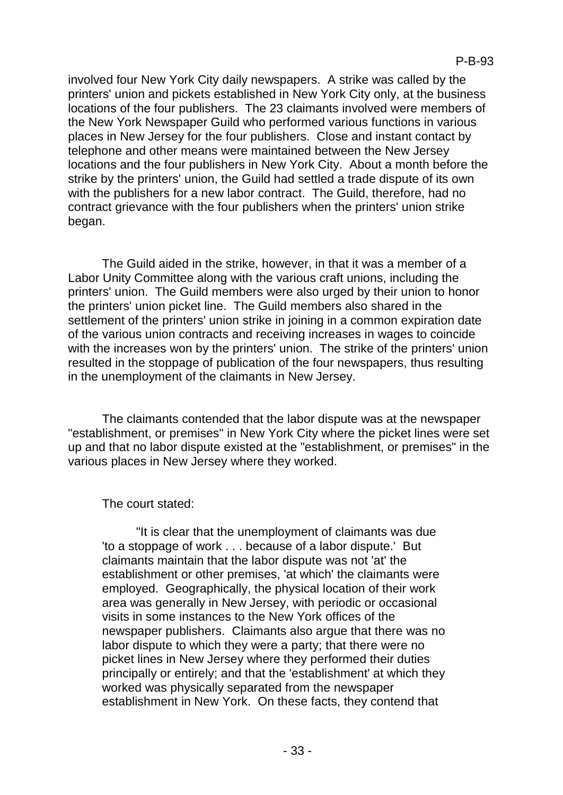involved four New York City daily newspapers. A strike was called by the printers' union and pickets established in New York City only, at the business locations of the four publishers. The 23 claimants involved were members of the New York Newspaper Guild who performed various functions in various places in New Jersey for the four publishers. Close and instant contact by telephone and other means were maintained between the New Jersey locations and the four publishers in New York City. About a month before the strike by the printers' union, the Guild had settled a trade dispute of its own with the publishers for a new labor contract. The Guild, therefore, had no contract grievance with the four publishers when the printers' union strike began.

The Guild aided in the strike, however, in that it was a member of a Labor Unity Committee along with the various craft unions, including the printers' union. The Guild members were also urged by their union to honor the printers' union picket line. The Guild members also shared in the settlement of the printers' union strike in joining in a common expiration date of the various union contracts and receiving increases in wages to coincide with the increases won by the printers' union. The strike of the printers' union resulted in the stoppage of publication of the four newspapers, thus resulting in the unemployment of the claimants in New Jersey.

The claimants contended that the labor dispute was at the newspaper "establishment, or premises" in New York City where the picket lines were set up and that no labor dispute existed at the "establishment, or premises" in the various places in New Jersey where they worked.

The court stated:

"It is clear that the unemployment of claimants was due 'to a stoppage of work . . . because of a labor dispute.' But claimants maintain that the labor dispute was not 'at' the establishment or other premises, 'at which' the claimants were employed. Geographically, the physical location of their work area was generally in New Jersey, with periodic or occasional visits in some instances to the New York offices of the newspaper publishers. Claimants also argue that there was no labor dispute to which they were a party; that there were no picket lines in New Jersey where they performed their duties principally or entirely; and that the 'establishment' at which they worked was physically separated from the newspaper establishment in New York. On these facts, they contend that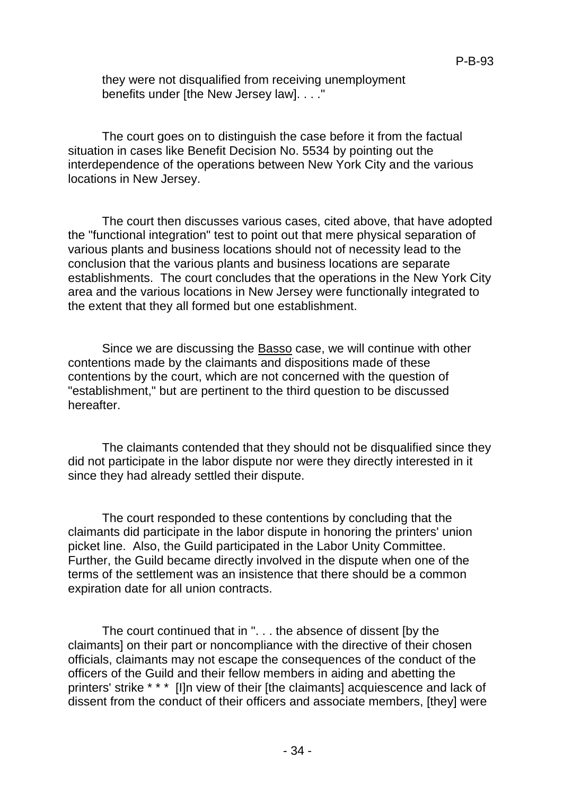they were not disqualified from receiving unemployment benefits under [the New Jersey law]. . . ."

The court goes on to distinguish the case before it from the factual situation in cases like Benefit Decision No. 5534 by pointing out the interdependence of the operations between New York City and the various locations in New Jersey.

The court then discusses various cases, cited above, that have adopted the "functional integration" test to point out that mere physical separation of various plants and business locations should not of necessity lead to the conclusion that the various plants and business locations are separate establishments. The court concludes that the operations in the New York City area and the various locations in New Jersey were functionally integrated to the extent that they all formed but one establishment.

Since we are discussing the Basso case, we will continue with other contentions made by the claimants and dispositions made of these contentions by the court, which are not concerned with the question of "establishment," but are pertinent to the third question to be discussed hereafter.

The claimants contended that they should not be disqualified since they did not participate in the labor dispute nor were they directly interested in it since they had already settled their dispute.

The court responded to these contentions by concluding that the claimants did participate in the labor dispute in honoring the printers' union picket line. Also, the Guild participated in the Labor Unity Committee. Further, the Guild became directly involved in the dispute when one of the terms of the settlement was an insistence that there should be a common expiration date for all union contracts.

The court continued that in ". . . the absence of dissent [by the claimants] on their part or noncompliance with the directive of their chosen officials, claimants may not escape the consequences of the conduct of the officers of the Guild and their fellow members in aiding and abetting the printers' strike \* \* \* [I]n view of their [the claimants] acquiescence and lack of dissent from the conduct of their officers and associate members, [they] were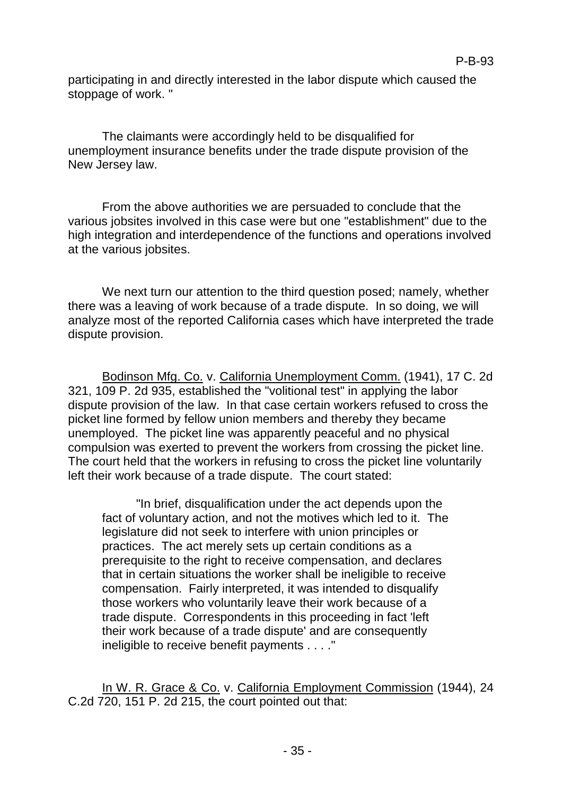participating in and directly interested in the labor dispute which caused the stoppage of work. "

The claimants were accordingly held to be disqualified for unemployment insurance benefits under the trade dispute provision of the New Jersey law.

From the above authorities we are persuaded to conclude that the various jobsites involved in this case were but one "establishment" due to the high integration and interdependence of the functions and operations involved at the various jobsites.

We next turn our attention to the third question posed; namely, whether there was a leaving of work because of a trade dispute. In so doing, we will analyze most of the reported California cases which have interpreted the trade dispute provision.

Bodinson Mfg. Co. v. California Unemployment Comm. (1941), 17 C. 2d 321, 109 P. 2d 935, established the "volitional test" in applying the labor dispute provision of the law. In that case certain workers refused to cross the picket line formed by fellow union members and thereby they became unemployed. The picket line was apparently peaceful and no physical compulsion was exerted to prevent the workers from crossing the picket line. The court held that the workers in refusing to cross the picket line voluntarily left their work because of a trade dispute. The court stated:

"In brief, disqualification under the act depends upon the fact of voluntary action, and not the motives which led to it. The legislature did not seek to interfere with union principles or practices. The act merely sets up certain conditions as a prerequisite to the right to receive compensation, and declares that in certain situations the worker shall be ineligible to receive compensation. Fairly interpreted, it was intended to disqualify those workers who voluntarily leave their work because of a trade dispute. Correspondents in this proceeding in fact 'left their work because of a trade dispute' and are consequently ineligible to receive benefit payments . . . ."

In W. R. Grace & Co. v. California Employment Commission (1944), 24 C.2d 720, 151 P. 2d 215, the court pointed out that: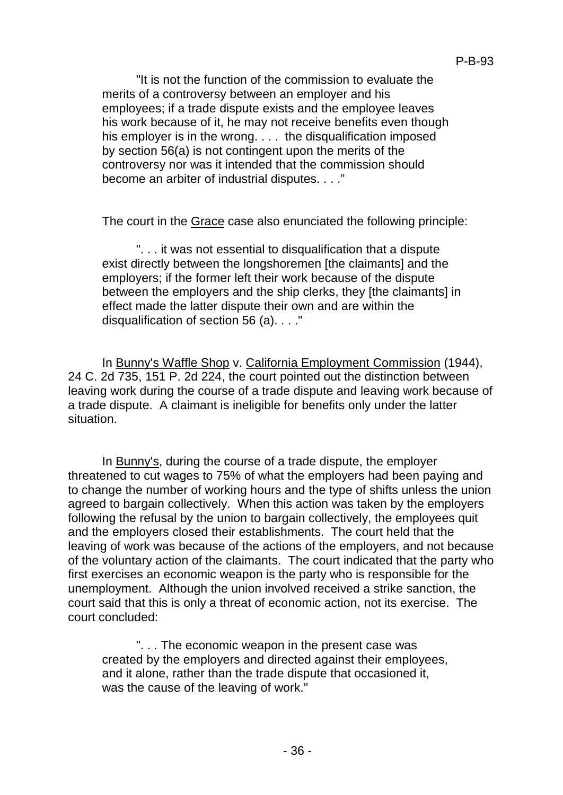"It is not the function of the commission to evaluate the merits of a controversy between an employer and his employees; if a trade dispute exists and the employee leaves his work because of it, he may not receive benefits even though his employer is in the wrong. . . . the disqualification imposed by section 56(a) is not contingent upon the merits of the controversy nor was it intended that the commission should become an arbiter of industrial disputes. . . ."

The court in the Grace case also enunciated the following principle:

". . . it was not essential to disqualification that a dispute exist directly between the longshoremen [the claimants] and the employers; if the former left their work because of the dispute between the employers and the ship clerks, they [the claimants] in effect made the latter dispute their own and are within the disqualification of section 56 (a). . . ."

In Bunny's Waffle Shop v. California Employment Commission (1944), 24 C. 2d 735, 151 P. 2d 224, the court pointed out the distinction between leaving work during the course of a trade dispute and leaving work because of a trade dispute. A claimant is ineligible for benefits only under the latter situation.

In Bunny's, during the course of a trade dispute, the employer threatened to cut wages to 75% of what the employers had been paying and to change the number of working hours and the type of shifts unless the union agreed to bargain collectively. When this action was taken by the employers following the refusal by the union to bargain collectively, the employees quit and the employers closed their establishments. The court held that the leaving of work was because of the actions of the employers, and not because of the voluntary action of the claimants. The court indicated that the party who first exercises an economic weapon is the party who is responsible for the unemployment. Although the union involved received a strike sanction, the court said that this is only a threat of economic action, not its exercise. The court concluded:

". . . The economic weapon in the present case was created by the employers and directed against their employees, and it alone, rather than the trade dispute that occasioned it, was the cause of the leaving of work."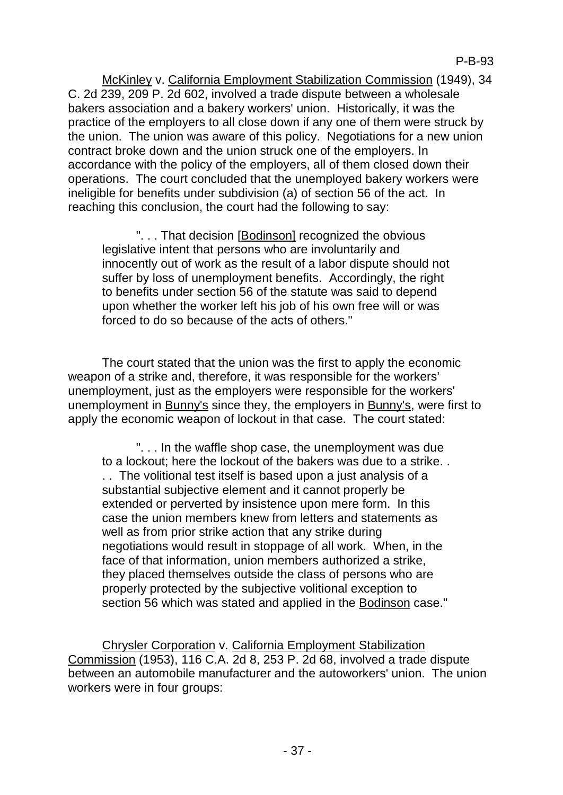McKinley v. California Employment Stabilization Commission (1949), 34 C. 2d 239, 209 P. 2d 602, involved a trade dispute between a wholesale bakers association and a bakery workers' union. Historically, it was the practice of the employers to all close down if any one of them were struck by the union. The union was aware of this policy. Negotiations for a new union contract broke down and the union struck one of the employers. In accordance with the policy of the employers, all of them closed down their operations. The court concluded that the unemployed bakery workers were ineligible for benefits under subdivision (a) of section 56 of the act. In reaching this conclusion, the court had the following to say:

". . . That decision [Bodinson] recognized the obvious legislative intent that persons who are involuntarily and innocently out of work as the result of a labor dispute should not suffer by loss of unemployment benefits. Accordingly, the right to benefits under section 56 of the statute was said to depend upon whether the worker left his job of his own free will or was forced to do so because of the acts of others."

The court stated that the union was the first to apply the economic weapon of a strike and, therefore, it was responsible for the workers' unemployment, just as the employers were responsible for the workers' unemployment in Bunny's since they, the employers in Bunny's, were first to apply the economic weapon of lockout in that case. The court stated:

". . . In the waffle shop case, the unemployment was due to a lockout; here the lockout of the bakers was due to a strike. . . . The volitional test itself is based upon a just analysis of a substantial subjective element and it cannot properly be extended or perverted by insistence upon mere form. In this case the union members knew from letters and statements as well as from prior strike action that any strike during negotiations would result in stoppage of all work. When, in the face of that information, union members authorized a strike, they placed themselves outside the class of persons who are properly protected by the subjective volitional exception to section 56 which was stated and applied in the Bodinson case."

Chrysler Corporation v. California Employment Stabilization Commission (1953), 116 C.A. 2d 8, 253 P. 2d 68, involved a trade dispute between an automobile manufacturer and the autoworkers' union. The union workers were in four groups: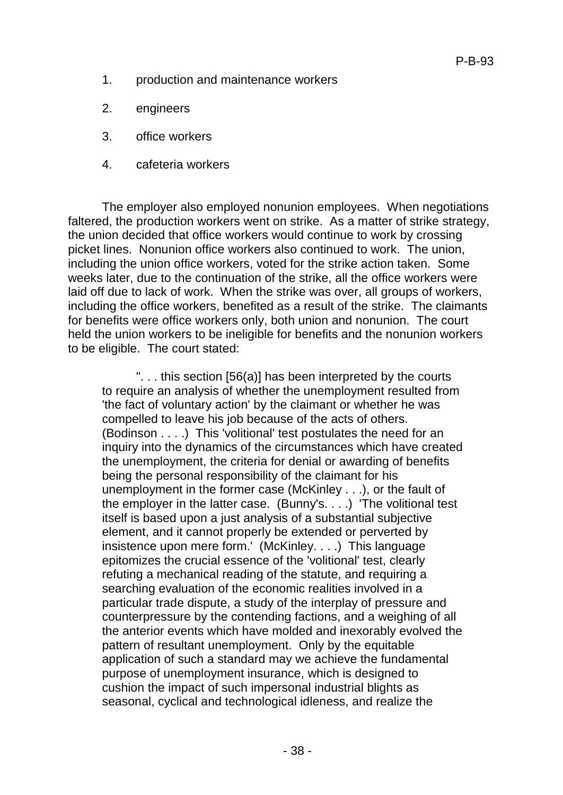- 1. production and maintenance workers
- 2. engineers
- 3. office workers
- 4. cafeteria workers

The employer also employed nonunion employees. When negotiations faltered, the production workers went on strike. As a matter of strike strategy, the union decided that office workers would continue to work by crossing picket lines. Nonunion office workers also continued to work. The union, including the union office workers, voted for the strike action taken. Some weeks later, due to the continuation of the strike, all the office workers were laid off due to lack of work. When the strike was over, all groups of workers, including the office workers, benefited as a result of the strike. The claimants for benefits were office workers only, both union and nonunion. The court held the union workers to be ineligible for benefits and the nonunion workers to be eligible. The court stated:

". . . this section [56(a)] has been interpreted by the courts to require an analysis of whether the unemployment resulted from 'the fact of voluntary action' by the claimant or whether he was compelled to leave his job because of the acts of others. (Bodinson . . . .) This 'volitional' test postulates the need for an inquiry into the dynamics of the circumstances which have created the unemployment, the criteria for denial or awarding of benefits being the personal responsibility of the claimant for his unemployment in the former case (McKinley . . .), or the fault of the employer in the latter case. (Bunny's. . . .) 'The volitional test itself is based upon a just analysis of a substantial subjective element, and it cannot properly be extended or perverted by insistence upon mere form.' (McKinley. . . .) This language epitomizes the crucial essence of the 'volitional' test, clearly refuting a mechanical reading of the statute, and requiring a searching evaluation of the economic realities involved in a particular trade dispute, a study of the interplay of pressure and counterpressure by the contending factions, and a weighing of all the anterior events which have molded and inexorably evolved the pattern of resultant unemployment. Only by the equitable application of such a standard may we achieve the fundamental purpose of unemployment insurance, which is designed to cushion the impact of such impersonal industrial blights as seasonal, cyclical and technological idleness, and realize the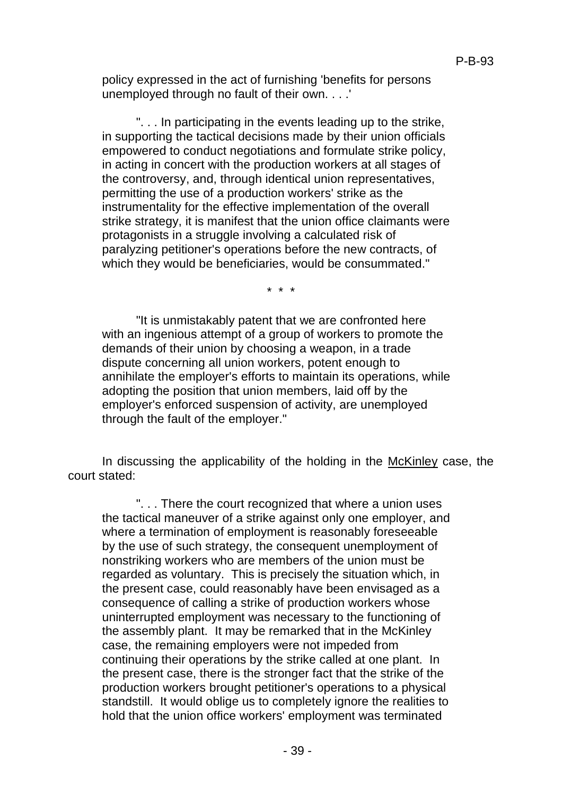policy expressed in the act of furnishing 'benefits for persons unemployed through no fault of their own. . . .'

". . . In participating in the events leading up to the strike, in supporting the tactical decisions made by their union officials empowered to conduct negotiations and formulate strike policy, in acting in concert with the production workers at all stages of the controversy, and, through identical union representatives, permitting the use of a production workers' strike as the instrumentality for the effective implementation of the overall strike strategy, it is manifest that the union office claimants were protagonists in a struggle involving a calculated risk of paralyzing petitioner's operations before the new contracts, of which they would be beneficiaries, would be consummated."

\* \* \*

"It is unmistakably patent that we are confronted here with an ingenious attempt of a group of workers to promote the demands of their union by choosing a weapon, in a trade dispute concerning all union workers, potent enough to annihilate the employer's efforts to maintain its operations, while adopting the position that union members, laid off by the employer's enforced suspension of activity, are unemployed through the fault of the employer."

In discussing the applicability of the holding in the McKinley case, the court stated:

". . . There the court recognized that where a union uses the tactical maneuver of a strike against only one employer, and where a termination of employment is reasonably foreseeable by the use of such strategy, the consequent unemployment of nonstriking workers who are members of the union must be regarded as voluntary. This is precisely the situation which, in the present case, could reasonably have been envisaged as a consequence of calling a strike of production workers whose uninterrupted employment was necessary to the functioning of the assembly plant. It may be remarked that in the McKinley case, the remaining employers were not impeded from continuing their operations by the strike called at one plant. In the present case, there is the stronger fact that the strike of the production workers brought petitioner's operations to a physical standstill. It would oblige us to completely ignore the realities to hold that the union office workers' employment was terminated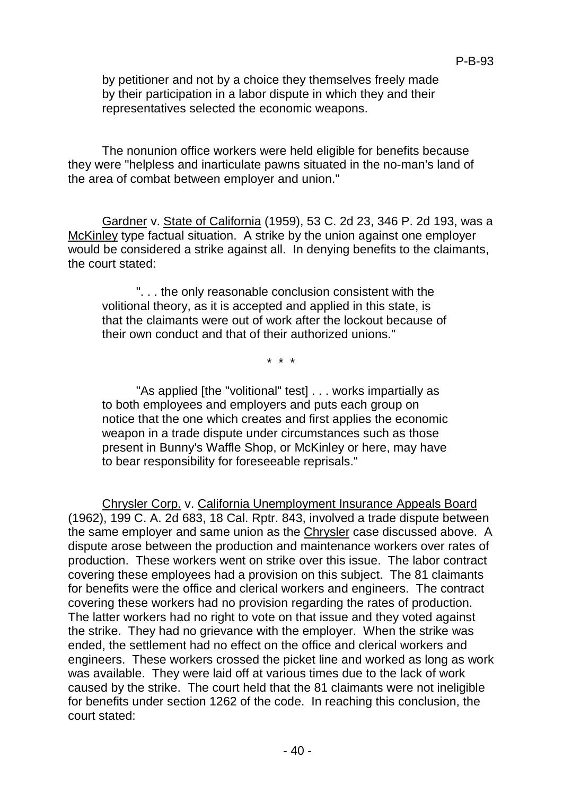by petitioner and not by a choice they themselves freely made by their participation in a labor dispute in which they and their representatives selected the economic weapons.

The nonunion office workers were held eligible for benefits because they were "helpless and inarticulate pawns situated in the no-man's land of the area of combat between employer and union."

Gardner v. State of California (1959), 53 C. 2d 23, 346 P. 2d 193, was a McKinley type factual situation. A strike by the union against one employer would be considered a strike against all. In denying benefits to the claimants, the court stated:

". . . the only reasonable conclusion consistent with the volitional theory, as it is accepted and applied in this state, is that the claimants were out of work after the lockout because of their own conduct and that of their authorized unions."

\* \* \*

"As applied [the "volitional" test] . . . works impartially as to both employees and employers and puts each group on notice that the one which creates and first applies the economic weapon in a trade dispute under circumstances such as those present in Bunny's Waffle Shop, or McKinley or here, may have to bear responsibility for foreseeable reprisals."

Chrysler Corp. v. California Unemployment Insurance Appeals Board (1962), 199 C. A. 2d 683, 18 Cal. Rptr. 843, involved a trade dispute between the same employer and same union as the Chrysler case discussed above. A dispute arose between the production and maintenance workers over rates of production. These workers went on strike over this issue. The labor contract covering these employees had a provision on this subject. The 81 claimants for benefits were the office and clerical workers and engineers. The contract covering these workers had no provision regarding the rates of production. The latter workers had no right to vote on that issue and they voted against the strike. They had no grievance with the employer. When the strike was ended, the settlement had no effect on the office and clerical workers and engineers. These workers crossed the picket line and worked as long as work was available. They were laid off at various times due to the lack of work caused by the strike. The court held that the 81 claimants were not ineligible for benefits under section 1262 of the code. In reaching this conclusion, the court stated: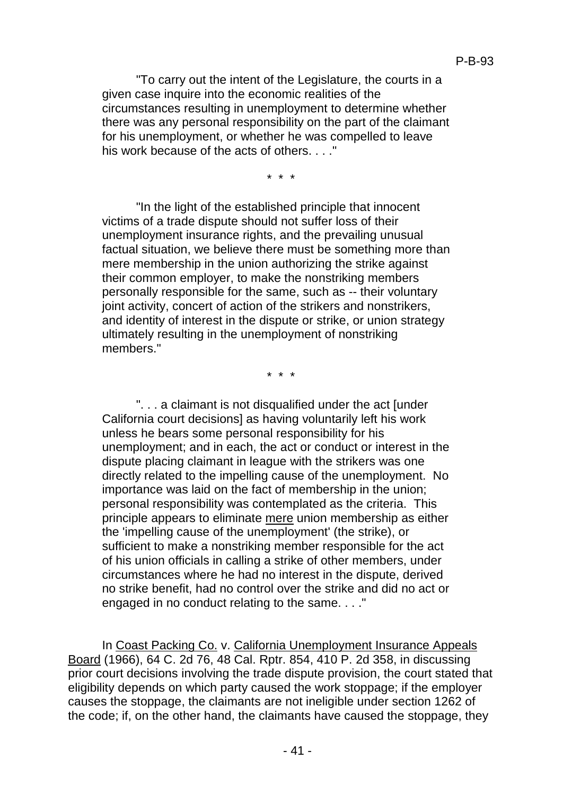"To carry out the intent of the Legislature, the courts in a given case inquire into the economic realities of the circumstances resulting in unemployment to determine whether there was any personal responsibility on the part of the claimant for his unemployment, or whether he was compelled to leave his work because of the acts of others. . . ."

\* \* \*

"In the light of the established principle that innocent victims of a trade dispute should not suffer loss of their unemployment insurance rights, and the prevailing unusual factual situation, we believe there must be something more than mere membership in the union authorizing the strike against their common employer, to make the nonstriking members personally responsible for the same, such as -- their voluntary joint activity, concert of action of the strikers and nonstrikers, and identity of interest in the dispute or strike, or union strategy ultimately resulting in the unemployment of nonstriking members."

\* \* \*

". . . a claimant is not disqualified under the act [under California court decisions] as having voluntarily left his work unless he bears some personal responsibility for his unemployment; and in each, the act or conduct or interest in the dispute placing claimant in league with the strikers was one directly related to the impelling cause of the unemployment. No importance was laid on the fact of membership in the union; personal responsibility was contemplated as the criteria. This principle appears to eliminate mere union membership as either the 'impelling cause of the unemployment' (the strike), or sufficient to make a nonstriking member responsible for the act of his union officials in calling a strike of other members, under circumstances where he had no interest in the dispute, derived no strike benefit, had no control over the strike and did no act or engaged in no conduct relating to the same. . . ."

In Coast Packing Co. v. California Unemployment Insurance Appeals Board (1966), 64 C. 2d 76, 48 Cal. Rptr. 854, 410 P. 2d 358, in discussing prior court decisions involving the trade dispute provision, the court stated that eligibility depends on which party caused the work stoppage; if the employer causes the stoppage, the claimants are not ineligible under section 1262 of the code; if, on the other hand, the claimants have caused the stoppage, they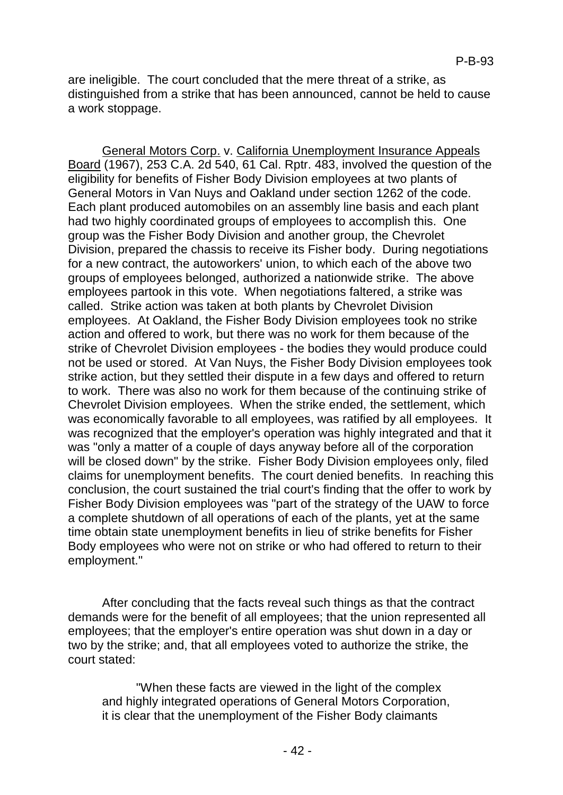are ineligible. The court concluded that the mere threat of a strike, as distinguished from a strike that has been announced, cannot be held to cause a work stoppage.

General Motors Corp. v. California Unemployment Insurance Appeals Board (1967), 253 C.A. 2d 540, 61 Cal. Rptr. 483, involved the question of the eligibility for benefits of Fisher Body Division employees at two plants of General Motors in Van Nuys and Oakland under section 1262 of the code. Each plant produced automobiles on an assembly line basis and each plant had two highly coordinated groups of employees to accomplish this. One group was the Fisher Body Division and another group, the Chevrolet Division, prepared the chassis to receive its Fisher body. During negotiations for a new contract, the autoworkers' union, to which each of the above two groups of employees belonged, authorized a nationwide strike. The above employees partook in this vote. When negotiations faltered, a strike was called. Strike action was taken at both plants by Chevrolet Division employees. At Oakland, the Fisher Body Division employees took no strike action and offered to work, but there was no work for them because of the strike of Chevrolet Division employees - the bodies they would produce could not be used or stored. At Van Nuys, the Fisher Body Division employees took strike action, but they settled their dispute in a few days and offered to return to work. There was also no work for them because of the continuing strike of Chevrolet Division employees. When the strike ended, the settlement, which was economically favorable to all employees, was ratified by all employees. It was recognized that the employer's operation was highly integrated and that it was "only a matter of a couple of days anyway before all of the corporation will be closed down" by the strike. Fisher Body Division employees only, filed claims for unemployment benefits. The court denied benefits. In reaching this conclusion, the court sustained the trial court's finding that the offer to work by Fisher Body Division employees was "part of the strategy of the UAW to force a complete shutdown of all operations of each of the plants, yet at the same time obtain state unemployment benefits in lieu of strike benefits for Fisher Body employees who were not on strike or who had offered to return to their employment."

After concluding that the facts reveal such things as that the contract demands were for the benefit of all employees; that the union represented all employees; that the employer's entire operation was shut down in a day or two by the strike; and, that all employees voted to authorize the strike, the court stated:

"When these facts are viewed in the light of the complex and highly integrated operations of General Motors Corporation, it is clear that the unemployment of the Fisher Body claimants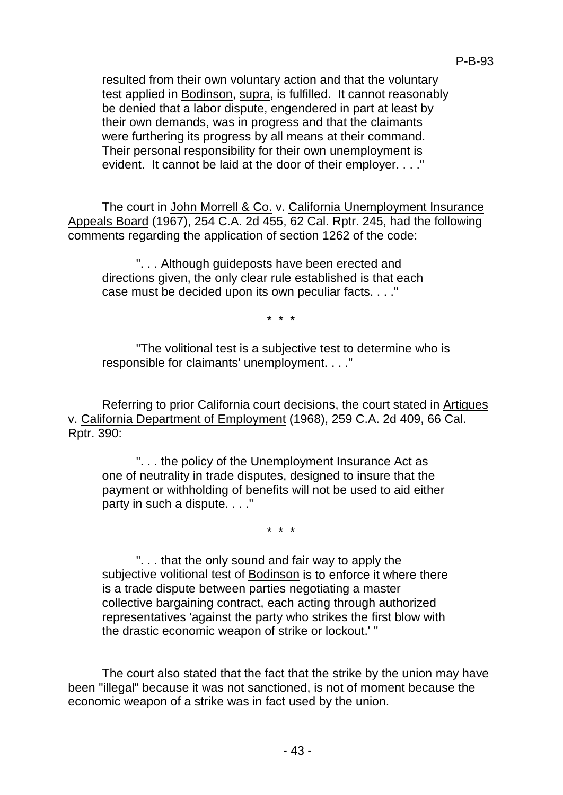resulted from their own voluntary action and that the voluntary test applied in Bodinson, supra, is fulfilled. It cannot reasonably be denied that a labor dispute, engendered in part at least by their own demands, was in progress and that the claimants were furthering its progress by all means at their command. Their personal responsibility for their own unemployment is evident. It cannot be laid at the door of their employer. . . ."

The court in John Morrell & Co. v. California Unemployment Insurance Appeals Board (1967), 254 C.A. 2d 455, 62 Cal. Rptr. 245, had the following comments regarding the application of section 1262 of the code:

". . . Although guideposts have been erected and directions given, the only clear rule established is that each case must be decided upon its own peculiar facts. . . ."

\* \* \*

"The volitional test is a subjective test to determine who is responsible for claimants' unemployment. . . ."

Referring to prior California court decisions, the court stated in Artigues v. California Department of Employment (1968), 259 C.A. 2d 409, 66 Cal. Rptr. 390:

". . . the policy of the Unemployment Insurance Act as one of neutrality in trade disputes, designed to insure that the payment or withholding of benefits will not be used to aid either party in such a dispute. . . ."

\* \* \*

". . . that the only sound and fair way to apply the subjective volitional test of **Bodinson** is to enforce it where there is a trade dispute between parties negotiating a master collective bargaining contract, each acting through authorized representatives 'against the party who strikes the first blow with the drastic economic weapon of strike or lockout.' "

The court also stated that the fact that the strike by the union may have been "illegal" because it was not sanctioned, is not of moment because the economic weapon of a strike was in fact used by the union.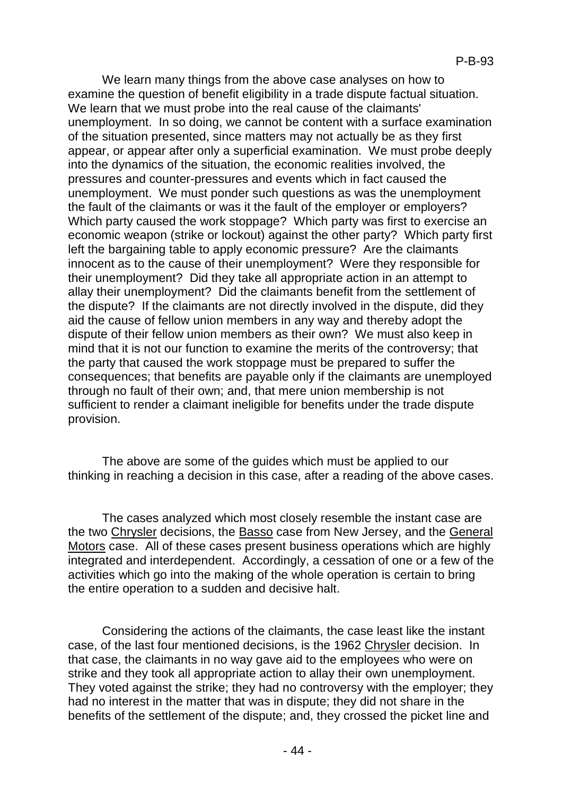We learn many things from the above case analyses on how to examine the question of benefit eligibility in a trade dispute factual situation. We learn that we must probe into the real cause of the claimants' unemployment. In so doing, we cannot be content with a surface examination of the situation presented, since matters may not actually be as they first appear, or appear after only a superficial examination. We must probe deeply into the dynamics of the situation, the economic realities involved, the pressures and counter-pressures and events which in fact caused the unemployment. We must ponder such questions as was the unemployment the fault of the claimants or was it the fault of the employer or employers? Which party caused the work stoppage? Which party was first to exercise an economic weapon (strike or lockout) against the other party? Which party first left the bargaining table to apply economic pressure? Are the claimants innocent as to the cause of their unemployment? Were they responsible for their unemployment? Did they take all appropriate action in an attempt to allay their unemployment? Did the claimants benefit from the settlement of the dispute? If the claimants are not directly involved in the dispute, did they aid the cause of fellow union members in any way and thereby adopt the dispute of their fellow union members as their own? We must also keep in mind that it is not our function to examine the merits of the controversy; that the party that caused the work stoppage must be prepared to suffer the consequences; that benefits are payable only if the claimants are unemployed through no fault of their own; and, that mere union membership is not sufficient to render a claimant ineligible for benefits under the trade dispute provision.

The above are some of the guides which must be applied to our thinking in reaching a decision in this case, after a reading of the above cases.

The cases analyzed which most closely resemble the instant case are the two Chrysler decisions, the Basso case from New Jersey, and the General Motors case. All of these cases present business operations which are highly integrated and interdependent. Accordingly, a cessation of one or a few of the activities which go into the making of the whole operation is certain to bring the entire operation to a sudden and decisive halt.

Considering the actions of the claimants, the case least like the instant case, of the last four mentioned decisions, is the 1962 Chrysler decision. In that case, the claimants in no way gave aid to the employees who were on strike and they took all appropriate action to allay their own unemployment. They voted against the strike; they had no controversy with the employer; they had no interest in the matter that was in dispute; they did not share in the benefits of the settlement of the dispute; and, they crossed the picket line and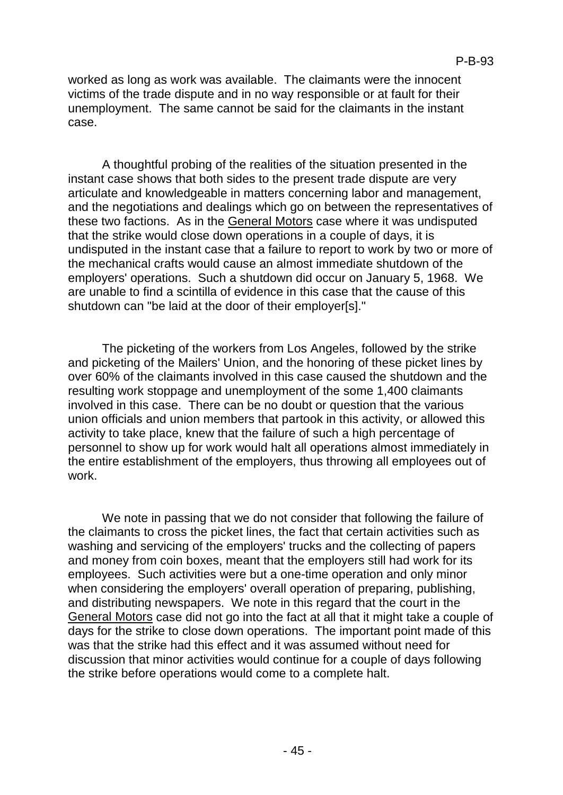worked as long as work was available. The claimants were the innocent victims of the trade dispute and in no way responsible or at fault for their unemployment. The same cannot be said for the claimants in the instant case.

A thoughtful probing of the realities of the situation presented in the instant case shows that both sides to the present trade dispute are very articulate and knowledgeable in matters concerning labor and management, and the negotiations and dealings which go on between the representatives of these two factions. As in the General Motors case where it was undisputed that the strike would close down operations in a couple of days, it is undisputed in the instant case that a failure to report to work by two or more of the mechanical crafts would cause an almost immediate shutdown of the employers' operations. Such a shutdown did occur on January 5, 1968. We are unable to find a scintilla of evidence in this case that the cause of this shutdown can "be laid at the door of their employer[s]."

The picketing of the workers from Los Angeles, followed by the strike and picketing of the Mailers' Union, and the honoring of these picket lines by over 60% of the claimants involved in this case caused the shutdown and the resulting work stoppage and unemployment of the some 1,400 claimants involved in this case. There can be no doubt or question that the various union officials and union members that partook in this activity, or allowed this activity to take place, knew that the failure of such a high percentage of personnel to show up for work would halt all operations almost immediately in the entire establishment of the employers, thus throwing all employees out of work.

We note in passing that we do not consider that following the failure of the claimants to cross the picket lines, the fact that certain activities such as washing and servicing of the employers' trucks and the collecting of papers and money from coin boxes, meant that the employers still had work for its employees. Such activities were but a one-time operation and only minor when considering the employers' overall operation of preparing, publishing, and distributing newspapers. We note in this regard that the court in the General Motors case did not go into the fact at all that it might take a couple of days for the strike to close down operations. The important point made of this was that the strike had this effect and it was assumed without need for discussion that minor activities would continue for a couple of days following the strike before operations would come to a complete halt.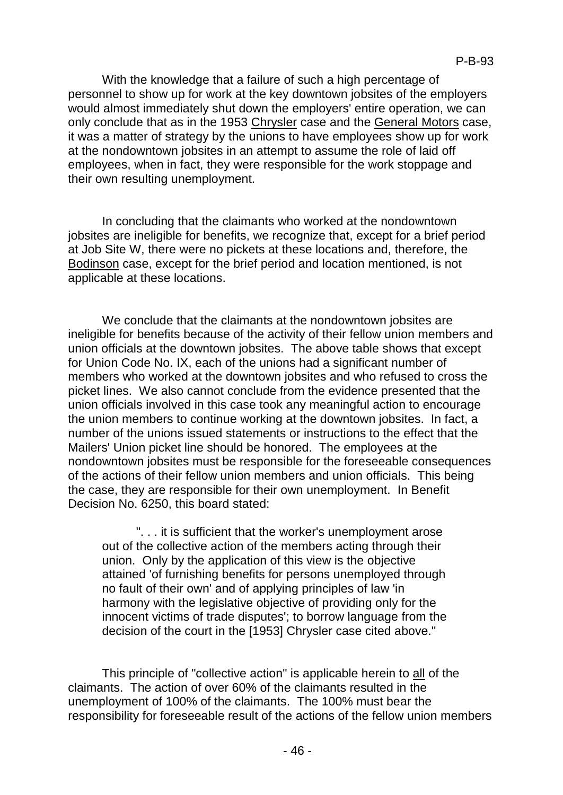With the knowledge that a failure of such a high percentage of personnel to show up for work at the key downtown jobsites of the employers would almost immediately shut down the employers' entire operation, we can only conclude that as in the 1953 Chrysler case and the General Motors case, it was a matter of strategy by the unions to have employees show up for work at the nondowntown jobsites in an attempt to assume the role of laid off employees, when in fact, they were responsible for the work stoppage and their own resulting unemployment.

In concluding that the claimants who worked at the nondowntown jobsites are ineligible for benefits, we recognize that, except for a brief period at Job Site W, there were no pickets at these locations and, therefore, the Bodinson case, except for the brief period and location mentioned, is not applicable at these locations.

We conclude that the claimants at the nondowntown jobsites are ineligible for benefits because of the activity of their fellow union members and union officials at the downtown jobsites. The above table shows that except for Union Code No. IX, each of the unions had a significant number of members who worked at the downtown jobsites and who refused to cross the picket lines. We also cannot conclude from the evidence presented that the union officials involved in this case took any meaningful action to encourage the union members to continue working at the downtown jobsites. In fact, a number of the unions issued statements or instructions to the effect that the Mailers' Union picket line should be honored. The employees at the nondowntown jobsites must be responsible for the foreseeable consequences of the actions of their fellow union members and union officials. This being the case, they are responsible for their own unemployment. In Benefit Decision No. 6250, this board stated:

". . . it is sufficient that the worker's unemployment arose out of the collective action of the members acting through their union. Only by the application of this view is the objective attained 'of furnishing benefits for persons unemployed through no fault of their own' and of applying principles of law 'in harmony with the legislative objective of providing only for the innocent victims of trade disputes'; to borrow language from the decision of the court in the [1953] Chrysler case cited above."

This principle of "collective action" is applicable herein to all of the claimants. The action of over 60% of the claimants resulted in the unemployment of 100% of the claimants. The 100% must bear the responsibility for foreseeable result of the actions of the fellow union members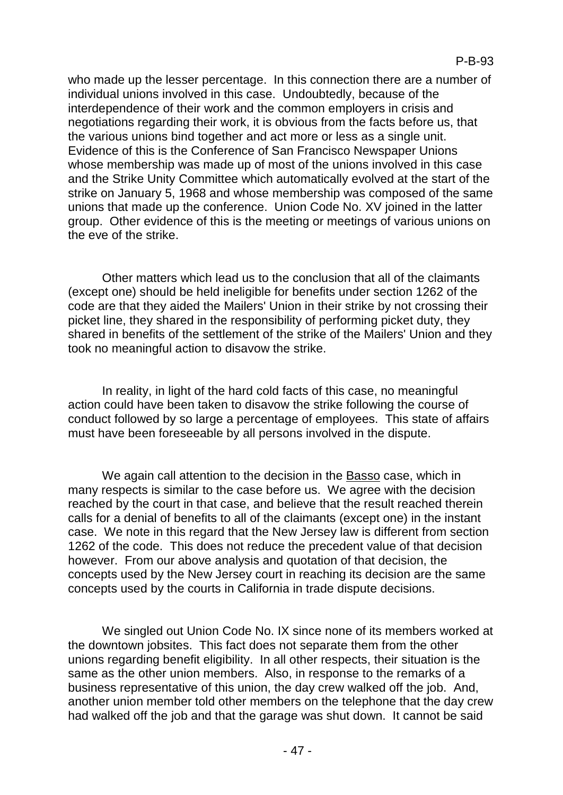who made up the lesser percentage. In this connection there are a number of individual unions involved in this case. Undoubtedly, because of the interdependence of their work and the common employers in crisis and negotiations regarding their work, it is obvious from the facts before us, that the various unions bind together and act more or less as a single unit. Evidence of this is the Conference of San Francisco Newspaper Unions whose membership was made up of most of the unions involved in this case and the Strike Unity Committee which automatically evolved at the start of the strike on January 5, 1968 and whose membership was composed of the same unions that made up the conference. Union Code No. XV joined in the latter group. Other evidence of this is the meeting or meetings of various unions on the eve of the strike.

Other matters which lead us to the conclusion that all of the claimants (except one) should be held ineligible for benefits under section 1262 of the code are that they aided the Mailers' Union in their strike by not crossing their picket line, they shared in the responsibility of performing picket duty, they shared in benefits of the settlement of the strike of the Mailers' Union and they took no meaningful action to disavow the strike.

In reality, in light of the hard cold facts of this case, no meaningful action could have been taken to disavow the strike following the course of conduct followed by so large a percentage of employees. This state of affairs must have been foreseeable by all persons involved in the dispute.

We again call attention to the decision in the Basso case, which in many respects is similar to the case before us. We agree with the decision reached by the court in that case, and believe that the result reached therein calls for a denial of benefits to all of the claimants (except one) in the instant case. We note in this regard that the New Jersey law is different from section 1262 of the code. This does not reduce the precedent value of that decision however. From our above analysis and quotation of that decision, the concepts used by the New Jersey court in reaching its decision are the same concepts used by the courts in California in trade dispute decisions.

We singled out Union Code No. IX since none of its members worked at the downtown jobsites. This fact does not separate them from the other unions regarding benefit eligibility. In all other respects, their situation is the same as the other union members. Also, in response to the remarks of a business representative of this union, the day crew walked off the job. And, another union member told other members on the telephone that the day crew had walked off the job and that the garage was shut down. It cannot be said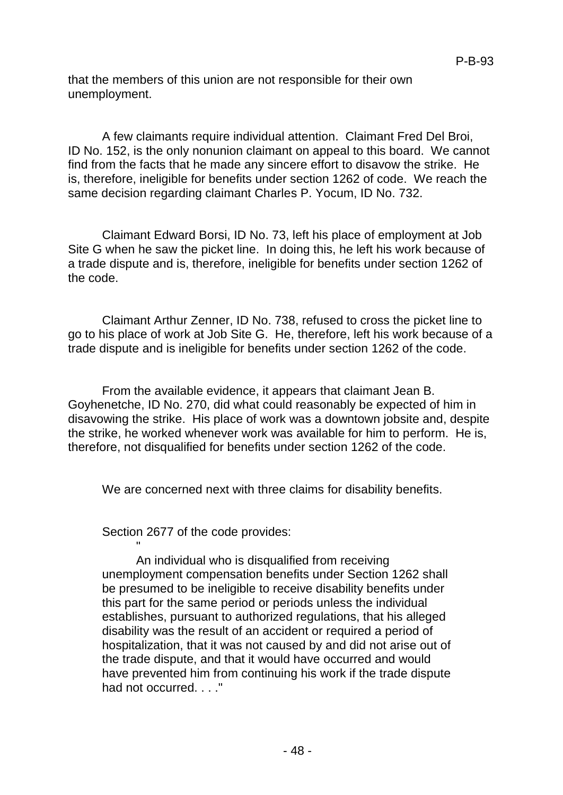that the members of this union are not responsible for their own unemployment.

A few claimants require individual attention. Claimant Fred Del Broi, ID No. 152, is the only nonunion claimant on appeal to this board. We cannot find from the facts that he made any sincere effort to disavow the strike. He is, therefore, ineligible for benefits under section 1262 of code. We reach the same decision regarding claimant Charles P. Yocum, ID No. 732.

Claimant Edward Borsi, ID No. 73, left his place of employment at Job Site G when he saw the picket line. In doing this, he left his work because of a trade dispute and is, therefore, ineligible for benefits under section 1262 of the code.

Claimant Arthur Zenner, ID No. 738, refused to cross the picket line to go to his place of work at Job Site G. He, therefore, left his work because of a trade dispute and is ineligible for benefits under section 1262 of the code.

From the available evidence, it appears that claimant Jean B. Goyhenetche, ID No. 270, did what could reasonably be expected of him in disavowing the strike. His place of work was a downtown jobsite and, despite the strike, he worked whenever work was available for him to perform. He is, therefore, not disqualified for benefits under section 1262 of the code.

We are concerned next with three claims for disability benefits.

Section 2677 of the code provides:

"

An individual who is disqualified from receiving unemployment compensation benefits under Section 1262 shall be presumed to be ineligible to receive disability benefits under this part for the same period or periods unless the individual establishes, pursuant to authorized regulations, that his alleged disability was the result of an accident or required a period of hospitalization, that it was not caused by and did not arise out of the trade dispute, and that it would have occurred and would have prevented him from continuing his work if the trade dispute had not occurred. . . ."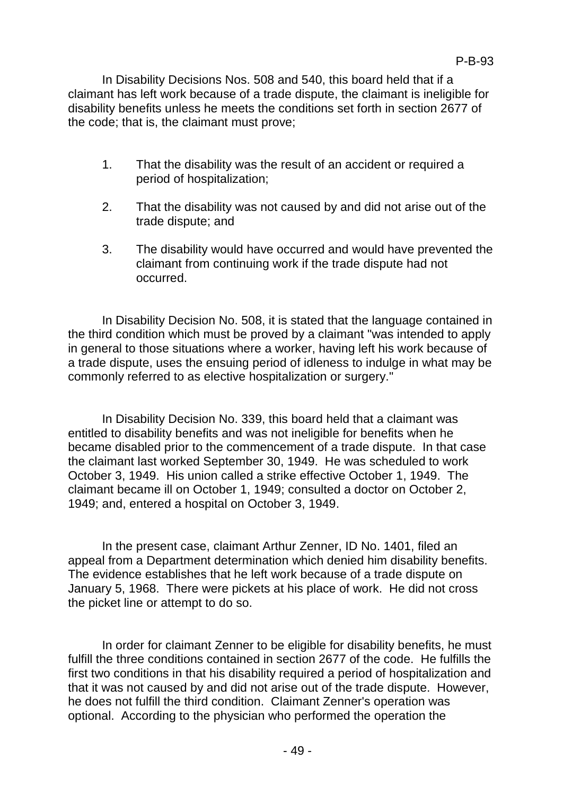In Disability Decisions Nos. 508 and 540, this board held that if a claimant has left work because of a trade dispute, the claimant is ineligible for disability benefits unless he meets the conditions set forth in section 2677 of the code; that is, the claimant must prove;

- 1. That the disability was the result of an accident or required a period of hospitalization;
- 2. That the disability was not caused by and did not arise out of the trade dispute; and
- 3. The disability would have occurred and would have prevented the claimant from continuing work if the trade dispute had not occurred.

In Disability Decision No. 508, it is stated that the language contained in the third condition which must be proved by a claimant "was intended to apply in general to those situations where a worker, having left his work because of a trade dispute, uses the ensuing period of idleness to indulge in what may be commonly referred to as elective hospitalization or surgery."

In Disability Decision No. 339, this board held that a claimant was entitled to disability benefits and was not ineligible for benefits when he became disabled prior to the commencement of a trade dispute. In that case the claimant last worked September 30, 1949. He was scheduled to work October 3, 1949. His union called a strike effective October 1, 1949. The claimant became ill on October 1, 1949; consulted a doctor on October 2, 1949; and, entered a hospital on October 3, 1949.

In the present case, claimant Arthur Zenner, ID No. 1401, filed an appeal from a Department determination which denied him disability benefits. The evidence establishes that he left work because of a trade dispute on January 5, 1968. There were pickets at his place of work. He did not cross the picket line or attempt to do so.

In order for claimant Zenner to be eligible for disability benefits, he must fulfill the three conditions contained in section 2677 of the code. He fulfills the first two conditions in that his disability required a period of hospitalization and that it was not caused by and did not arise out of the trade dispute. However, he does not fulfill the third condition. Claimant Zenner's operation was optional. According to the physician who performed the operation the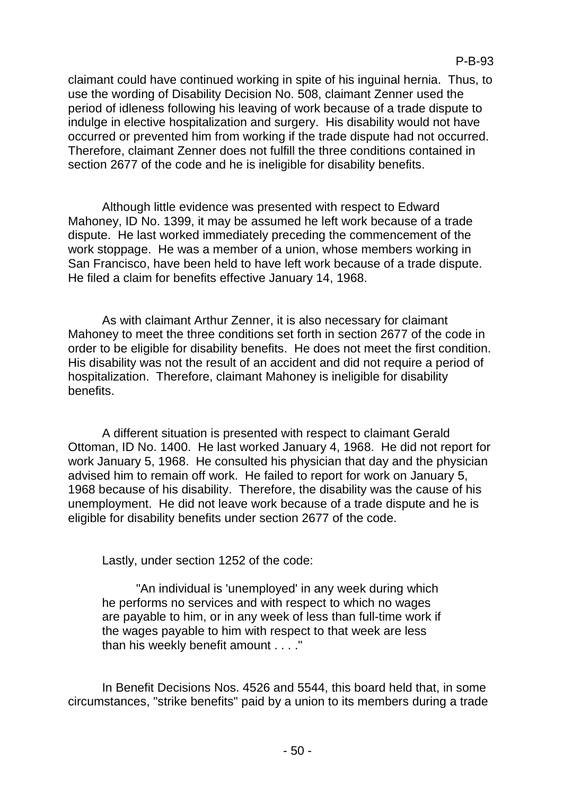claimant could have continued working in spite of his inguinal hernia. Thus, to use the wording of Disability Decision No. 508, claimant Zenner used the period of idleness following his leaving of work because of a trade dispute to indulge in elective hospitalization and surgery. His disability would not have occurred or prevented him from working if the trade dispute had not occurred. Therefore, claimant Zenner does not fulfill the three conditions contained in section 2677 of the code and he is ineligible for disability benefits.

Although little evidence was presented with respect to Edward Mahoney, ID No. 1399, it may be assumed he left work because of a trade dispute. He last worked immediately preceding the commencement of the work stoppage. He was a member of a union, whose members working in San Francisco, have been held to have left work because of a trade dispute. He filed a claim for benefits effective January 14, 1968.

As with claimant Arthur Zenner, it is also necessary for claimant Mahoney to meet the three conditions set forth in section 2677 of the code in order to be eligible for disability benefits. He does not meet the first condition. His disability was not the result of an accident and did not require a period of hospitalization. Therefore, claimant Mahoney is ineligible for disability benefits.

A different situation is presented with respect to claimant Gerald Ottoman, ID No. 1400. He last worked January 4, 1968. He did not report for work January 5, 1968. He consulted his physician that day and the physician advised him to remain off work. He failed to report for work on January 5, 1968 because of his disability. Therefore, the disability was the cause of his unemployment. He did not leave work because of a trade dispute and he is eligible for disability benefits under section 2677 of the code.

Lastly, under section 1252 of the code:

"An individual is 'unemployed' in any week during which he performs no services and with respect to which no wages are payable to him, or in any week of less than full-time work if the wages payable to him with respect to that week are less than his weekly benefit amount . . . ."

In Benefit Decisions Nos. 4526 and 5544, this board held that, in some circumstances, "strike benefits" paid by a union to its members during a trade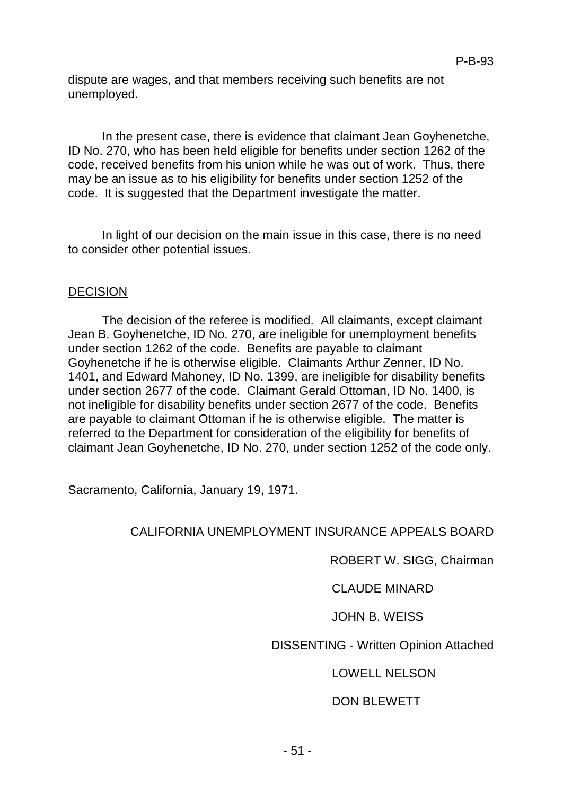dispute are wages, and that members receiving such benefits are not unemployed.

In the present case, there is evidence that claimant Jean Goyhenetche, ID No. 270, who has been held eligible for benefits under section 1262 of the code, received benefits from his union while he was out of work. Thus, there may be an issue as to his eligibility for benefits under section 1252 of the code. It is suggested that the Department investigate the matter.

In light of our decision on the main issue in this case, there is no need to consider other potential issues.

#### DECISION

The decision of the referee is modified. All claimants, except claimant Jean B. Goyhenetche, ID No. 270, are ineligible for unemployment benefits under section 1262 of the code. Benefits are payable to claimant Goyhenetche if he is otherwise eligible. Claimants Arthur Zenner, ID No. 1401, and Edward Mahoney, ID No. 1399, are ineligible for disability benefits under section 2677 of the code. Claimant Gerald Ottoman, ID No. 1400, is not ineligible for disability benefits under section 2677 of the code. Benefits are payable to claimant Ottoman if he is otherwise eligible. The matter is referred to the Department for consideration of the eligibility for benefits of claimant Jean Goyhenetche, ID No. 270, under section 1252 of the code only.

Sacramento, California, January 19, 1971.

#### CALIFORNIA UNEMPLOYMENT INSURANCE APPEALS BOARD

ROBERT W. SIGG, Chairman

CLAUDE MINARD

#### JOHN B. WEISS

#### DISSENTING - Written Opinion Attached

#### LOWELL NELSON

#### DON BLEWETT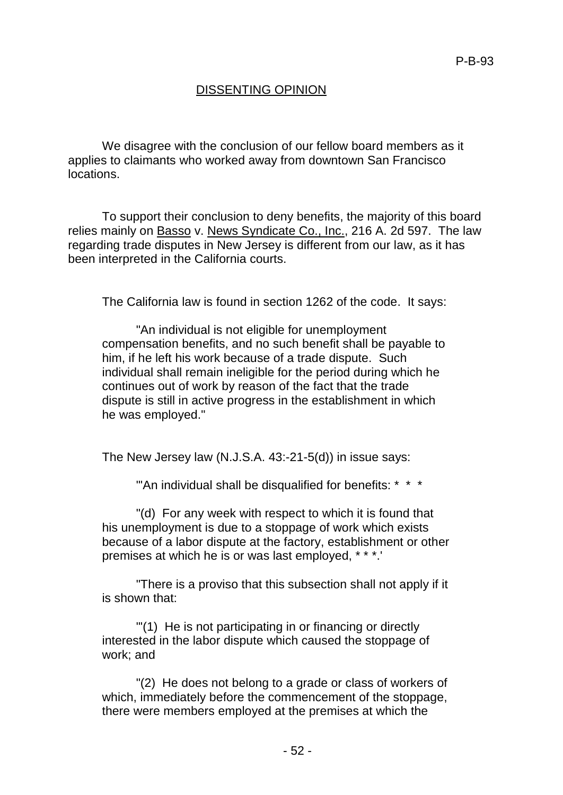# DISSENTING OPINION

We disagree with the conclusion of our fellow board members as it applies to claimants who worked away from downtown San Francisco locations.

To support their conclusion to deny benefits, the majority of this board relies mainly on Basso v. News Syndicate Co., Inc., 216 A. 2d 597. The law regarding trade disputes in New Jersey is different from our law, as it has been interpreted in the California courts.

The California law is found in section 1262 of the code. It says:

"An individual is not eligible for unemployment compensation benefits, and no such benefit shall be payable to him, if he left his work because of a trade dispute. Such individual shall remain ineligible for the period during which he continues out of work by reason of the fact that the trade dispute is still in active progress in the establishment in which he was employed."

The New Jersey law (N.J.S.A. 43:-21-5(d)) in issue says:

"'An individual shall be disqualified for benefits: \* \* \*

"(d) For any week with respect to which it is found that his unemployment is due to a stoppage of work which exists because of a labor dispute at the factory, establishment or other premises at which he is or was last employed, \* \* \*.'

"There is a proviso that this subsection shall not apply if it is shown that:

"'(1) He is not participating in or financing or directly interested in the labor dispute which caused the stoppage of work; and

"(2) He does not belong to a grade or class of workers of which, immediately before the commencement of the stoppage, there were members employed at the premises at which the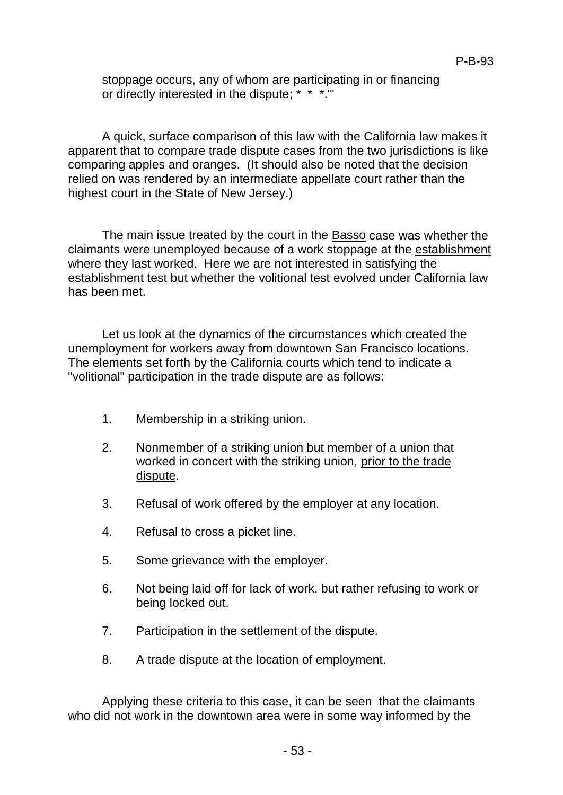stoppage occurs, any of whom are participating in or financing or directly interested in the dispute; \* \* \*.'"

A quick, surface comparison of this law with the California law makes it apparent that to compare trade dispute cases from the two jurisdictions is like comparing apples and oranges. (It should also be noted that the decision relied on was rendered by an intermediate appellate court rather than the highest court in the State of New Jersey.)

The main issue treated by the court in the Basso case was whether the claimants were unemployed because of a work stoppage at the establishment where they last worked. Here we are not interested in satisfying the establishment test but whether the volitional test evolved under California law has been met.

Let us look at the dynamics of the circumstances which created the unemployment for workers away from downtown San Francisco locations. The elements set forth by the California courts which tend to indicate a "volitional" participation in the trade dispute are as follows:

- 1. Membership in a striking union.
- 2. Nonmember of a striking union but member of a union that worked in concert with the striking union, prior to the trade dispute.
- 3. Refusal of work offered by the employer at any location.
- 4. Refusal to cross a picket line.
- 5. Some grievance with the employer.
- 6. Not being laid off for lack of work, but rather refusing to work or being locked out.
- 7. Participation in the settlement of the dispute.
- 8. A trade dispute at the location of employment.

Applying these criteria to this case, it can be seen that the claimants who did not work in the downtown area were in some way informed by the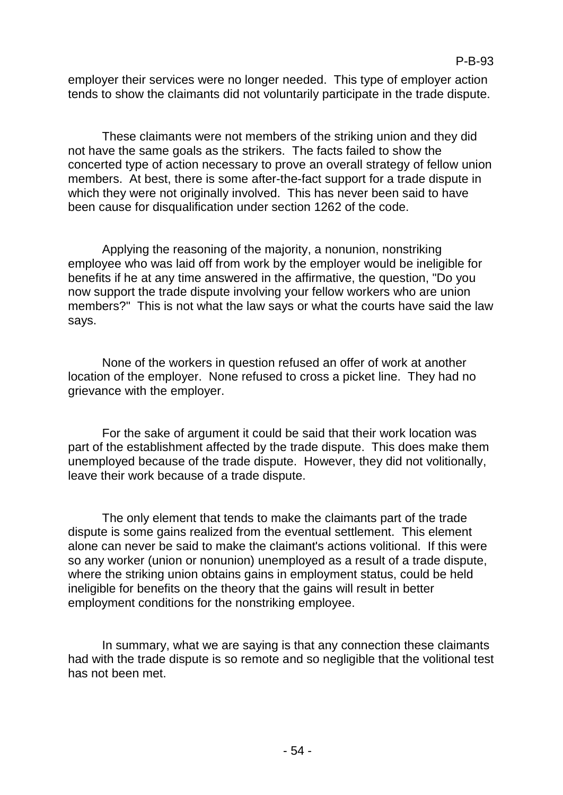employer their services were no longer needed. This type of employer action tends to show the claimants did not voluntarily participate in the trade dispute.

These claimants were not members of the striking union and they did not have the same goals as the strikers. The facts failed to show the concerted type of action necessary to prove an overall strategy of fellow union members. At best, there is some after-the-fact support for a trade dispute in which they were not originally involved. This has never been said to have been cause for disqualification under section 1262 of the code.

Applying the reasoning of the majority, a nonunion, nonstriking employee who was laid off from work by the employer would be ineligible for benefits if he at any time answered in the affirmative, the question, "Do you now support the trade dispute involving your fellow workers who are union members?" This is not what the law says or what the courts have said the law says.

None of the workers in question refused an offer of work at another location of the employer. None refused to cross a picket line. They had no grievance with the employer.

For the sake of argument it could be said that their work location was part of the establishment affected by the trade dispute. This does make them unemployed because of the trade dispute. However, they did not volitionally, leave their work because of a trade dispute.

The only element that tends to make the claimants part of the trade dispute is some gains realized from the eventual settlement. This element alone can never be said to make the claimant's actions volitional. If this were so any worker (union or nonunion) unemployed as a result of a trade dispute, where the striking union obtains gains in employment status, could be held ineligible for benefits on the theory that the gains will result in better employment conditions for the nonstriking employee.

In summary, what we are saying is that any connection these claimants had with the trade dispute is so remote and so negligible that the volitional test has not been met.